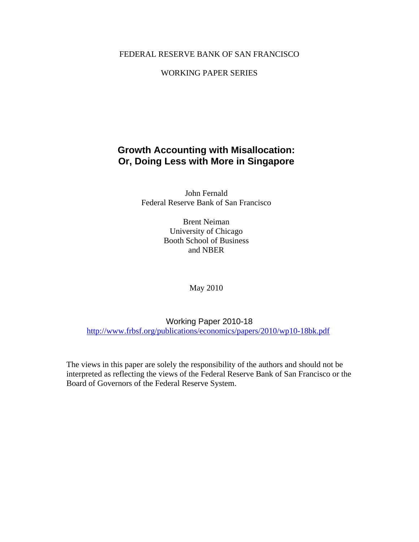## FEDERAL RESERVE BANK OF SAN FRANCISCO

## WORKING PAPER SERIES

## **Growth Accounting with Misallocation: Or, Doing Less with More in Singapore**

John Fernald Federal Reserve Bank of San Francisco

> Brent Neiman University of Chicago Booth School of Business and NBER

> > May 2010

Working Paper 2010-18 http://www.frbsf.org/publications/economics/papers/2010/wp10-18bk.pdf

The views in this paper are solely the responsibility of the authors and should not be interpreted as reflecting the views of the Federal Reserve Bank of San Francisco or the Board of Governors of the Federal Reserve System.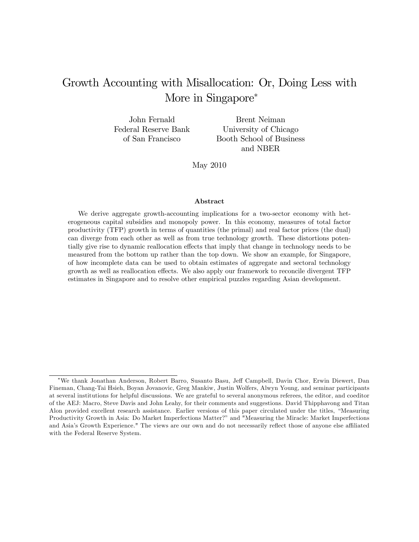# Growth Accounting with Misallocation: Or, Doing Less with More in Singapore<sup>\*</sup>

John Fernald Federal Reserve Bank of San Francisco

Brent Neiman University of Chicago Booth School of Business and NBER

May 2010

#### Abstract

We derive aggregate growth-accounting implications for a two-sector economy with heterogeneous capital subsidies and monopoly power. In this economy, measures of total factor productivity (TFP) growth in terms of quantities (the primal) and real factor prices (the dual) can diverge from each other as well as from true technology growth. These distortions potentially give rise to dynamic reallocation effects that imply that change in technology needs to be measured from the bottom up rather than the top down. We show an example, for Singapore, of how incomplete data can be used to obtain estimates of aggregate and sectoral technology growth as well as reallocation effects. We also apply our framework to reconcile divergent TFP estimates in Singapore and to resolve other empirical puzzles regarding Asian development.

We thank Jonathan Anderson, Robert Barro, Susanto Basu, Je§ Campbell, Davin Chor, Erwin Diewert, Dan Fineman, Chang-Tai Hsieh, Boyan Jovanovic, Greg Mankiw, Justin Wolfers, Alwyn Young, and seminar participants at several institutions for helpful discussions. We are grateful to several anonymous referees, the editor, and coeditor of the AEJ: Macro, Steve Davis and John Leahy, for their comments and suggestions. David Thipphavong and Titan Alon provided excellent research assistance. Earlier versions of this paper circulated under the titles, "Measuring Productivity Growth in Asia: Do Market Imperfections Matter?" and "Measuring the Miracle: Market Imperfections and Asia's Growth Experience." The views are our own and do not necessarily reflect those of anyone else affiliated with the Federal Reserve System.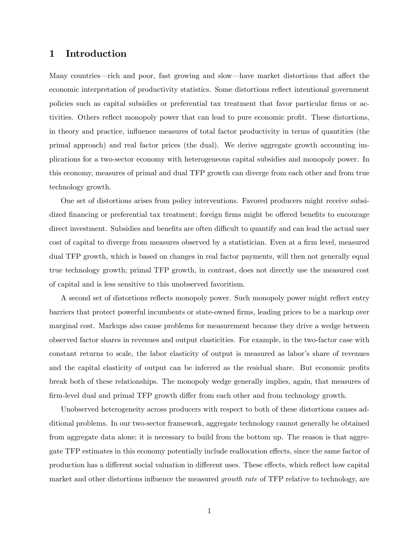## 1 Introduction

Many countries—rich and poor, fast growing and slow—have market distortions that affect the economic interpretation of productivity statistics. Some distortions reflect intentional government policies such as capital subsidies or preferential tax treatment that favor particular firms or activities. Others reflect monopoly power that can lead to pure economic profit. These distortions, in theory and practice, influence measures of total factor productivity in terms of quantities (the primal approach) and real factor prices (the dual). We derive aggregate growth accounting implications for a two-sector economy with heterogeneous capital subsidies and monopoly power. In this economy, measures of primal and dual TFP growth can diverge from each other and from true technology growth.

One set of distortions arises from policy interventions. Favored producers might receive subsidized financing or preferential tax treatment; foreign firms might be offered benefits to encourage direct investment. Subsidies and benefits are often difficult to quantify and can lead the actual user cost of capital to diverge from measures observed by a statistician. Even at a firm level, measured dual TFP growth, which is based on changes in real factor payments, will then not generally equal true technology growth; primal TFP growth, in contrast, does not directly use the measured cost of capital and is less sensitive to this unobserved favoritism.

A second set of distortions reflects monopoly power. Such monopoly power might reflect entry barriers that protect powerful incumbents or state-owned firms, leading prices to be a markup over marginal cost. Markups also cause problems for measurement because they drive a wedge between observed factor shares in revenues and output elasticities. For example, in the two-factor case with constant returns to scale, the labor elasticity of output is measured as labor's share of revenues and the capital elasticity of output can be inferred as the residual share. But economic profits break both of these relationships. The monopoly wedge generally implies, again, that measures of firm-level dual and primal TFP growth differ from each other and from technology growth.

Unobserved heterogeneity across producers with respect to both of these distortions causes additional problems. In our two-sector framework, aggregate technology cannot generally be obtained from aggregate data alone; it is necessary to build from the bottom up. The reason is that aggregate TFP estimates in this economy potentially include reallocation effects, since the same factor of production has a different social valuation in different uses. These effects, which reflect how capital market and other distortions influence the measured *growth rate* of TFP relative to technology, are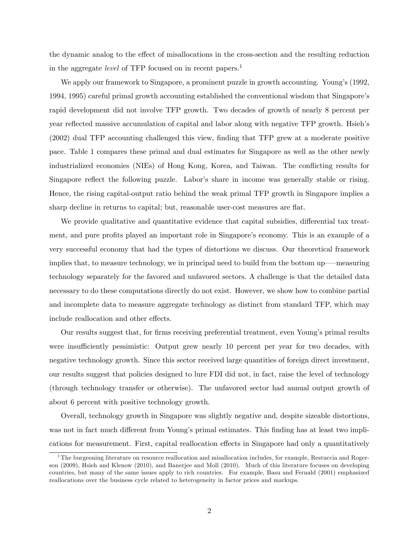the dynamic analog to the effect of misallocations in the cross-section and the resulting reduction in the aggregate *level* of TFP focused on in recent papers.<sup>1</sup>

We apply our framework to Singapore, a prominent puzzle in growth accounting. Young's (1992, 1994, 1995) careful primal growth accounting established the conventional wisdom that Singaporeís rapid development did not involve TFP growth. Two decades of growth of nearly 8 percent per year reflected massive accumulation of capital and labor along with negative TFP growth. Hsieh's (2002) dual TFP accounting challenged this view, Önding that TFP grew at a moderate positive pace. Table 1 compares these primal and dual estimates for Singapore as well as the other newly industrialized economies (NIEs) of Hong Kong, Korea, and Taiwan. The conflicting results for Singapore reflect the following puzzle. Labor's share in income was generally stable or rising. Hence, the rising capital-output ratio behind the weak primal TFP growth in Singapore implies a sharp decline in returns to capital; but, reasonable user-cost measures are flat.

We provide qualitative and quantitative evidence that capital subsidies, differential tax treatment, and pure profits played an important role in Singapore's economy. This is an example of a very successful economy that had the types of distortions we discuss. Our theoretical framework implies that, to measure technology, we in principal need to build from the bottom up—measuring technology separately for the favored and unfavored sectors. A challenge is that the detailed data necessary to do these computations directly do not exist. However, we show how to combine partial and incomplete data to measure aggregate technology as distinct from standard TFP, which may include reallocation and other effects.

Our results suggest that, for firms receiving preferential treatment, even Young's primal results were insufficiently pessimistic: Output grew nearly 10 percent per year for two decades, with negative technology growth. Since this sector received large quantities of foreign direct investment, our results suggest that policies designed to lure FDI did not, in fact, raise the level of technology (through technology transfer or otherwise). The unfavored sector had annual output growth of about 6 percent with positive technology growth.

Overall, technology growth in Singapore was slightly negative and, despite sizeable distortions, was not in fact much different from Young's primal estimates. This finding has at least two implications for measurement. First, capital reallocation effects in Singapore had only a quantitatively

<sup>&</sup>lt;sup>1</sup>The burgeoning literature on resource reallocation and misallocation includes, for example, Restuccia and Rogerson (2009), Hsieh and Klenow (2010), and Banerjee and Moll (2010). Much of this literature focuses on developing countries, but many of the same issues apply to rich countries. For example, Basu and Fernald (2001) emphasized reallocations over the business cycle related to heterogeneity in factor prices and markups.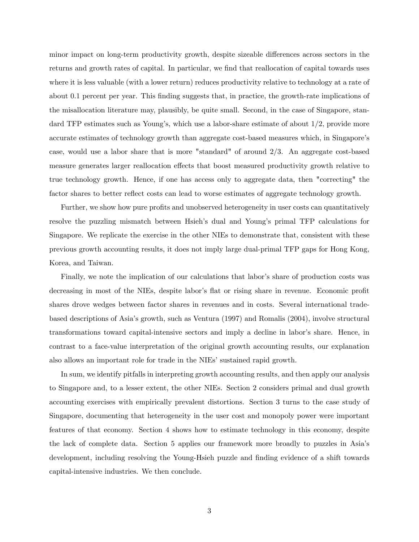minor impact on long-term productivity growth, despite sizeable differences across sectors in the returns and growth rates of capital. In particular, we find that reallocation of capital towards uses where it is less valuable (with a lower return) reduces productivity relative to technology at a rate of about 0.1 percent per year. This finding suggests that, in practice, the growth-rate implications of the misallocation literature may, plausibly, be quite small. Second, in the case of Singapore, standard TFP estimates such as Young's, which use a labor-share estimate of about  $1/2$ , provide more accurate estimates of technology growth than aggregate cost-based measures which, in Singapore's case, would use a labor share that is more "standard" of around 2/3. An aggregate cost-based measure generates larger reallocation effects that boost measured productivity growth relative to true technology growth. Hence, if one has access only to aggregate data, then "correcting" the factor shares to better reflect costs can lead to worse estimates of aggregate technology growth.

Further, we show how pure profits and unobserved heterogeneity in user costs can quantitatively resolve the puzzling mismatch between Hsieh's dual and Young's primal TFP calculations for Singapore. We replicate the exercise in the other NIEs to demonstrate that, consistent with these previous growth accounting results, it does not imply large dual-primal TFP gaps for Hong Kong, Korea, and Taiwan.

Finally, we note the implication of our calculations that labor's share of production costs was decreasing in most of the NIEs, despite labor's flat or rising share in revenue. Economic profit shares drove wedges between factor shares in revenues and in costs. Several international tradebased descriptions of Asiaís growth, such as Ventura (1997) and Romalis (2004), involve structural transformations toward capital-intensive sectors and imply a decline in labor's share. Hence, in contrast to a face-value interpretation of the original growth accounting results, our explanation also allows an important role for trade in the NIEs' sustained rapid growth.

In sum, we identify pitfalls in interpreting growth accounting results, and then apply our analysis to Singapore and, to a lesser extent, the other NIEs. Section 2 considers primal and dual growth accounting exercises with empirically prevalent distortions. Section 3 turns to the case study of Singapore, documenting that heterogeneity in the user cost and monopoly power were important features of that economy. Section 4 shows how to estimate technology in this economy, despite the lack of complete data. Section 5 applies our framework more broadly to puzzles in Asiaís development, including resolving the Young-Hsieh puzzle and finding evidence of a shift towards capital-intensive industries. We then conclude.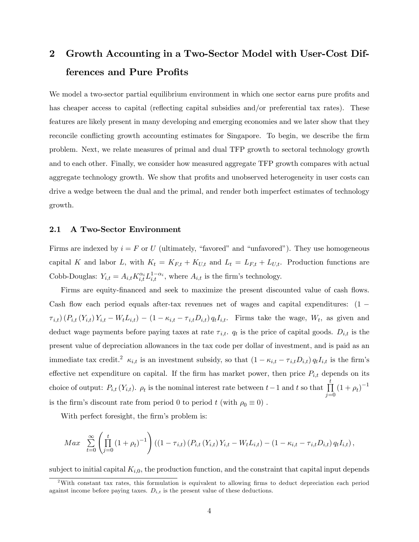# 2 Growth Accounting in a Two-Sector Model with User-Cost Differences and Pure Profits

We model a two-sector partial equilibrium environment in which one sector earns pure profits and has cheaper access to capital (reflecting capital subsidies and/or preferential tax rates). These features are likely present in many developing and emerging economies and we later show that they reconcile conflicting growth accounting estimates for Singapore. To begin, we describe the firm problem. Next, we relate measures of primal and dual TFP growth to sectoral technology growth and to each other. Finally, we consider how measured aggregate TFP growth compares with actual aggregate technology growth. We show that profits and unobserved heterogeneity in user costs can drive a wedge between the dual and the primal, and render both imperfect estimates of technology growth.

### 2.1 A Two-Sector Environment

Firms are indexed by  $i = F$  or U (ultimately, "favored" and "unfavored"). They use homogeneous capital K and labor L, with  $K_t = K_{F,t} + K_{U,t}$  and  $L_t = L_{F,t} + L_{U,t}$ . Production functions are Cobb-Douglas:  $Y_{i,t} = A_{i,t} K_{i,t}^{\alpha_i} L_{i,t}^{1-\alpha_i}$ , where  $A_{i,t}$  is the firm's technology.

Firms are equity-financed and seek to maximize the present discounted value of cash flows. Cash flow each period equals after-tax revenues net of wages and capital expenditures:  $(1 \tau_{i,t}$ )  $(P_{i,t} (Y_{i,t}) Y_{i,t} - W_t L_{i,t}) - (1 - \kappa_{i,t} - \tau_{i,t} D_{i,t}) q_t I_{i,t}.$  Firms take the wage,  $W_t$ , as given and deduct wage payments before paying taxes at rate  $\tau_{i,t}$ .  $q_t$  is the price of capital goods.  $D_{i,t}$  is the present value of depreciation allowances in the tax code per dollar of investment, and is paid as an immediate tax credit.<sup>2</sup>  $\kappa_{i,t}$  is an investment subsidy, so that  $(1 - \kappa_{i,t} - \tau_{i,t}D_{i,t}) q_tI_{i,t}$  is the firm's effective net expenditure on capital. If the firm has market power, then price  $P_{i,t}$  depends on its choice of output:  $P_{i,t}(Y_{i,t})$ .  $\rho_t$  is the nominal interest rate between  $t-1$  and t so that  $\prod_{i=1}^t$  $\prod_{j=0}^{1} (1+\rho_t)^{-1}$ is the firm's discount rate from period 0 to period t (with  $\rho_0 \equiv 0$ ).

With perfect foresight, the firm's problem is:

$$
Max \sum_{t=0}^{\infty} \left( \prod_{j=0}^{t} (1+\rho_t)^{-1} \right) ((1-\tau_{i,t}) (P_{i,t} (Y_{i,t}) Y_{i,t} - W_t L_{i,t}) - (1-\kappa_{i,t} - \tau_{i,t} D_{i,t}) q_t I_{i,t}),
$$

subject to initial capital  $K_{i,0}$ , the production function, and the constraint that capital input depends

 $2$ With constant tax rates, this formulation is equivalent to allowing firms to deduct depreciation each period against income before paying taxes.  $D_{i,t}$  is the present value of these deductions.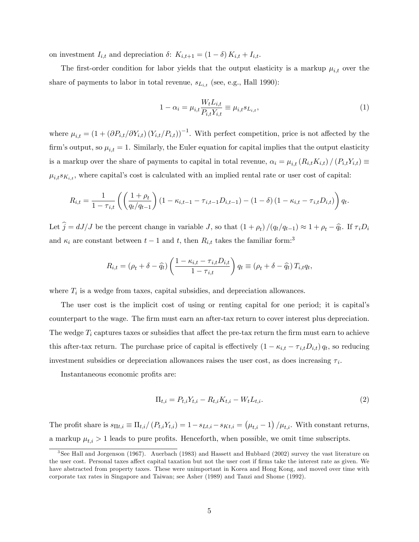on investment  $I_{i,t}$  and depreciation  $\delta$ :  $K_{i,t+1} = (1 - \delta) K_{i,t} + I_{i,t}$ .

The first-order condition for labor yields that the output elasticity is a markup  $\mu_{i,t}$  over the share of payments to labor in total revenue,  $s_{L_{i,t}}$  (see, e.g., Hall 1990):

$$
1 - \alpha_i = \mu_{i,t} \frac{W_t L_{i,t}}{P_{i,t} Y_{i,t}} \equiv \mu_{i,t} s_{L_{i,t}},
$$
\n(1)

where  $\mu_{i,t} = (1 + (\partial P_{i,t}/\partial Y_{i,t}) (Y_{i,t}/P_{i,t}))^{-1}$ . With perfect competition, price is not affected by the firm's output, so  $\mu_{i,t} = 1$ . Similarly, the Euler equation for capital implies that the output elasticity is a markup over the share of payments to capital in total revenue,  $\alpha_i = \mu_{i,t} (R_{i,t}K_{i,t}) / (P_{i,t}Y_{i,t}) \equiv$  $\mu_{i,t} s_{K_{i,t}}$ , where capital's cost is calculated with an implied rental rate or user cost of capital:

$$
R_{i,t} = \frac{1}{1 - \tau_{i,t}} \left( \left( \frac{1 + \rho_t}{q_t/q_{t-1}} \right) (1 - \kappa_{i,t-1} - \tau_{i,t-1} D_{i,t-1}) - (1 - \delta) (1 - \kappa_{i,t} - \tau_{i,t} D_{i,t}) \right) q_t.
$$

Let  $j = dJ/J$  be the percent change in variable J, so that  $(1 + \rho_t) / (q_t / q_{t-1}) \approx 1 + \rho_t - \hat{q}_t$ . If  $\tau_i D_i$ and  $\kappa_i$  are constant between  $t - 1$  and t, then  $R_{i,t}$  takes the familiar form:<sup>3</sup>

$$
R_{i,t} = (\rho_t + \delta - \widehat{q}_t) \left( \frac{1 - \kappa_{i,t} - \tau_{i,t} D_{i,t}}{1 - \tau_{i,t}} \right) q_t \equiv (\rho_t + \delta - \widehat{q}_t) T_{i,t} q_t,
$$

where  $T_i$  is a wedge from taxes, capital subsidies, and depreciation allowances.

The user cost is the implicit cost of using or renting capital for one period; it is capitalís counterpart to the wage. The Örm must earn an after-tax return to cover interest plus depreciation. The wedge  $T_i$  captures taxes or subsidies that affect the pre-tax return the firm must earn to achieve this after-tax return. The purchase price of capital is effectively  $(1 - \kappa_{i,t} - \tau_{i,t}D_{i,t}) q_t$ , so reducing investment subsidies or depreciation allowances raises the user cost, as does increasing  $\tau_i$ .

Instantaneous economic profits are:

$$
\Pi_{t,i} = P_{t,i} Y_{t,i} - R_{t,i} K_{t,i} - W_t L_{t,i}.
$$
\n(2)

The profit share is  $s_{\Pi t,i} \equiv \Pi_{t,i}/(P_{t,i}Y_{t,i}) = 1 - s_{Lt,i} - s_{Kt,i} = (\mu_{t,i} - 1)/\mu_{t,i}$ . With constant returns, a markup  $\mu_{t,i} > 1$  leads to pure profits. Henceforth, when possible, we omit time subscripts.

<sup>3</sup> See Hall and Jorgenson (1967). Auerbach (1983) and Hassett and Hubbard (2002) survey the vast literature on the user cost. Personal taxes affect capital taxation but not the user cost if firms take the interest rate as given. We have abstracted from property taxes. These were unimportant in Korea and Hong Kong, and moved over time with corporate tax rates in Singapore and Taiwan; see Asher (1989) and Tanzi and Shome (1992).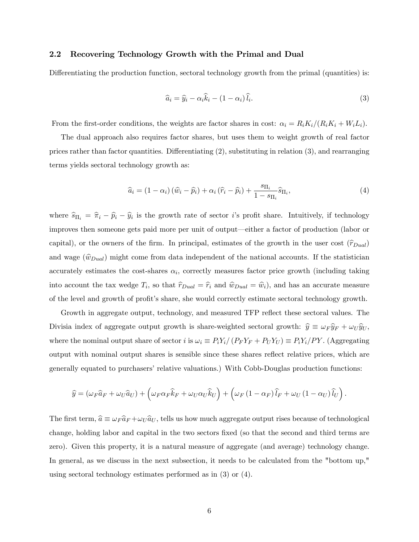### 2.2 Recovering Technology Growth with the Primal and Dual

Differentiating the production function, sectoral technology growth from the primal (quantities) is:

$$
\widehat{a}_i = \widehat{y}_i - \alpha_i \widehat{k}_i - (1 - \alpha_i) \widehat{l}_i.
$$
\n(3)

From the first-order conditions, the weights are factor shares in cost:  $\alpha_i = R_iK_i/(R_iK_i + W_iL_i)$ .

The dual approach also requires factor shares, but uses them to weight growth of real factor prices rather than factor quantities. Differentiating  $(2)$ , substituting in relation  $(3)$ , and rearranging terms yields sectoral technology growth as:

$$
\widehat{a}_i = (1 - \alpha_i) (\widehat{w}_i - \widehat{p}_i) + \alpha_i (\widehat{r}_i - \widehat{p}_i) + \frac{s_{\Pi_i}}{1 - s_{\Pi_i}} \widehat{s}_{\Pi_i}, \tag{4}
$$

where  $\hat{s}_{\Pi_i} = \hat{\pi}_i - \hat{p}_i - \hat{y}_i$  is the growth rate of sector *i*'s profit share. Intuitively, if technology improves then someone gets paid more per unit of output—either a factor of production (labor or capital), or the owners of the firm. In principal, estimates of the growth in the user cost  $(\hat{r}_{Dual})$ and wage  $(\widehat{w}_{Dual})$  might come from data independent of the national accounts. If the statistician accurately estimates the cost-shares  $\alpha_i$ , correctly measures factor price growth (including taking into account the tax wedge  $T_i$ , so that  $\hat{r}_{Dual} = \hat{r}_i$  and  $\hat{w}_{Dual} = \hat{w}_i$ ), and has an accurate measure of the level and growth of profit's share, she would correctly estimate sectoral technology growth.

Growth in aggregate output, technology, and measured TFP reflect these sectoral values. The Divisia index of aggregate output growth is share-weighted sectoral growth:  $\hat{y} \equiv \omega_F \hat{y}_F + \omega_U \hat{y}_U$ , where the nominal output share of sector i is  $\omega_i \equiv P_i Y_i/(P_F Y_F + P_U Y_U) \equiv P_i Y_i/PY$ . (Aggregating output with nominal output shares is sensible since these shares reflect relative prices, which are generally equated to purchasers' relative valuations.) With Cobb-Douglas production functions:

$$
\widehat{y} = (\omega_F \widehat{a}_F + \omega_U \widehat{a}_U) + (\omega_F \alpha_F \widehat{k}_F + \omega_U \alpha_U \widehat{k}_U) + (\omega_F (1 - \alpha_F) \widehat{l}_F + \omega_U (1 - \alpha_U) \widehat{l}_U).
$$

The first term,  $\hat{a} \equiv \omega_F \hat{a}_F + \omega_U \hat{a}_U$ , tells us how much aggregate output rises because of technological change, holding labor and capital in the two sectors Öxed (so that the second and third terms are zero). Given this property, it is a natural measure of aggregate (and average) technology change. In general, as we discuss in the next subsection, it needs to be calculated from the "bottom up," using sectoral technology estimates performed as in (3) or (4).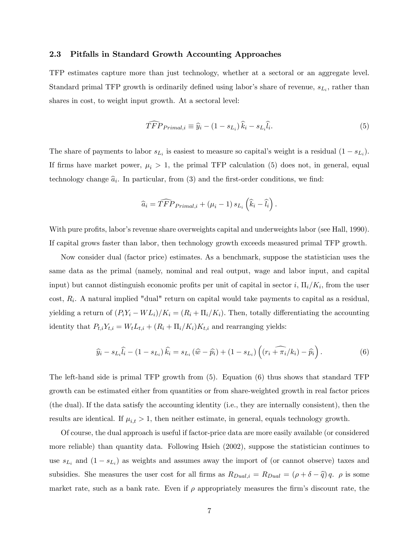### 2.3 Pitfalls in Standard Growth Accounting Approaches

TFP estimates capture more than just technology, whether at a sectoral or an aggregate level. Standard primal TFP growth is ordinarily defined using labor's share of revenue,  $s_{L_i}$ , rather than shares in cost, to weight input growth. At a sectoral level:

$$
\widehat{TFP}_{Primal,i} \equiv \widehat{y}_i - (1 - s_{L_i})\widehat{k}_i - s_{L_i}\widehat{l}_i. \tag{5}
$$

The share of payments to labor  $s_{L_i}$  is easiest to measure so capital's weight is a residual  $(1 - s_{L_i})$ . If firms have market power,  $\mu_i > 1$ , the primal TFP calculation (5) does not, in general, equal technology change  $\hat{a}_i$ . In particular, from (3) and the first-order conditions, we find:

$$
\widehat{a}_i = \widehat{TFP}_{Primal,i} + (\mu_i - 1) s_{L_i} (\widehat{k}_i - \widehat{l}_i).
$$

With pure profits, labor's revenue share overweights capital and underweights labor (see Hall, 1990). If capital grows faster than labor, then technology growth exceeds measured primal TFP growth.

Now consider dual (factor price) estimates. As a benchmark, suppose the statistician uses the same data as the primal (namely, nominal and real output, wage and labor input, and capital input) but cannot distinguish economic profits per unit of capital in sector i,  $\Pi_i/K_i$ , from the user  $\text{cost}, R_i$ . A natural implied "dual" return on capital would take payments to capital as a residual, yielding a return of  $(P_iY_i - WL_i)/K_i = (R_i + \Pi_i/K_i)$ . Then, totally differentiating the accounting identity that  $P_{t,i}Y_{t,i} = W_t L_{t,i} + (R_i + \Pi_i/K_i)K_{t,i}$  and rearranging yields:

$$
\widehat{y}_i - s_{L_i}\widehat{l}_i - (1 - s_{L_i})\widehat{k}_i = s_{L_i}(\widehat{w} - \widehat{p}_i) + (1 - s_{L_i})\left((r_i + \widehat{\pi_i}/k_i) - \widehat{p}_i\right). \tag{6}
$$

The left-hand side is primal TFP growth from (5). Equation (6) thus shows that standard TFP growth can be estimated either from quantities or from share-weighted growth in real factor prices (the dual). If the data satisfy the accounting identity (i.e., they are internally consistent), then the results are identical. If  $\mu_{i,t} > 1$ , then neither estimate, in general, equals technology growth.

Of course, the dual approach is useful if factor-price data are more easily available (or considered more reliable) than quantity data. Following Hsieh (2002), suppose the statistician continues to use  $s_{L_i}$  and  $(1 - s_{L_i})$  as weights and assumes away the import of (or cannot observe) taxes and subsidies. She measures the user cost for all firms as  $R_{Dual,i} = R_{Dual} = (\rho + \delta - \hat{q}) q$ .  $\rho$  is some market rate, such as a bank rate. Even if  $\rho$  appropriately measures the firm's discount rate, the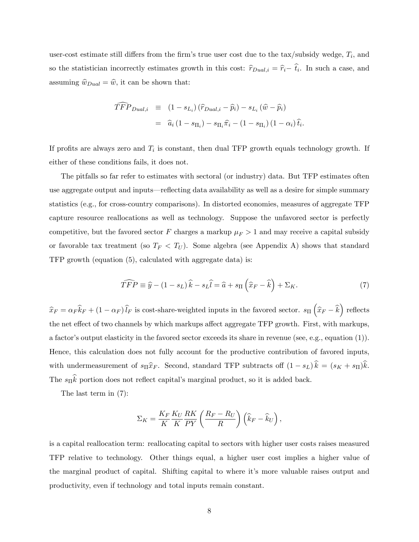user-cost estimate still differs from the firm's true user cost due to the tax/subsidy wedge,  $T_i$ , and so the statistician incorrectly estimates growth in this cost:  $\hat{r}_{Dual,i} = \hat{r}_i - \hat{t}_i$ . In such a case, and assuming  $\hat{w}_{Dual} = \hat{w}$ , it can be shown that:

$$
\begin{aligned}\n\widehat{TFP}_{Dual,i} & \equiv (1 - s_{Li}) \left( \widehat{r}_{Dual,i} - \widehat{p}_i \right) - s_{Li} \left( \widehat{w} - \widehat{p}_i \right) \\
& = \widehat{a}_i \left( 1 - s_{\Pi_i} \right) - s_{\Pi_i} \widehat{\pi}_i - \left( 1 - s_{\Pi_i} \right) \left( 1 - \alpha_i \right) \widehat{t}_i.\n\end{aligned}
$$

If profits are always zero and  $T_i$  is constant, then dual TFP growth equals technology growth. If either of these conditions fails, it does not.

The pitfalls so far refer to estimates with sectoral (or industry) data. But TFP estimates often use aggregate output and inputs—reflecting data availability as well as a desire for simple summary statistics (e.g., for cross-country comparisons). In distorted economies, measures of aggregate TFP capture resource reallocations as well as technology. Suppose the unfavored sector is perfectly competitive, but the favored sector F charges a markup  $\mu_F > 1$  and may receive a capital subsidy or favorable tax treatment (so  $T_F < T_U$ ). Some algebra (see Appendix A) shows that standard TFP growth (equation (5), calculated with aggregate data) is:

$$
\widehat{TFP} \equiv \widehat{y} - (1 - s_L)\widehat{k} - s_L\widehat{l} = \widehat{a} + s_{\Pi}\left(\widehat{x}_F - \widehat{k}\right) + \Sigma_K. \tag{7}
$$

 $\widehat{x}_F = \alpha_F \widehat{k}_F + (1 - \alpha_F) \widehat{l}_F$  is cost-share-weighted inputs in the favored sector.  $s_{\Pi} (\widehat{x}_F - \widehat{k})$  reflects the net effect of two channels by which markups affect aggregate TFP growth. First, with markups, a factor's output elasticity in the favored sector exceeds its share in revenue (see, e.g., equation  $(1)$ ). Hence, this calculation does not fully account for the productive contribution of favored inputs, with undermeasurement of  $s_{\Pi}\hat{x}_F$ . Second, standard TFP subtracts off  $(1 - s_L)\hat{k} = (s_K + s_{\Pi})\hat{k}$ . The  $s_{\Pi}k$  portion does not reflect capital's marginal product, so it is added back.

The last term in (7):

$$
\Sigma_K = \frac{K_F}{K} \frac{K_U}{K} \frac{RK}{PY} \left( \frac{R_F - R_U}{R} \right) \left( \widehat{k}_F - \widehat{k}_U \right),
$$

is a capital reallocation term: reallocating capital to sectors with higher user costs raises measured TFP relative to technology. Other things equal, a higher user cost implies a higher value of the marginal product of capital. Shifting capital to where it's more valuable raises output and productivity, even if technology and total inputs remain constant.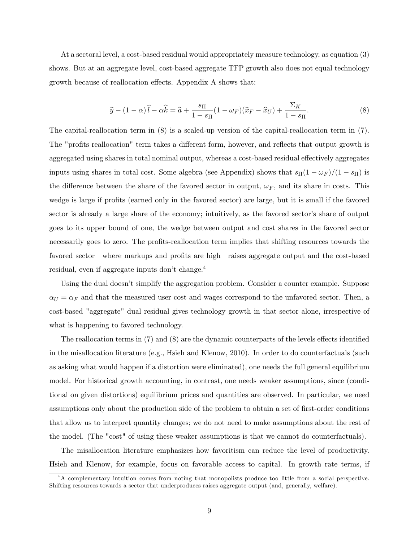At a sectoral level, a cost-based residual would appropriately measure technology, as equation (3) shows. But at an aggregate level, cost-based aggregate TFP growth also does not equal technology growth because of reallocation effects. Appendix A shows that:

$$
\widehat{y} - (1 - \alpha)\widehat{l} - \alpha \widehat{k} = \widehat{a} + \frac{s_{\Pi}}{1 - s_{\Pi}}(1 - \omega_F)(\widehat{x}_F - \widehat{x}_U) + \frac{\Sigma_K}{1 - s_{\Pi}}.\tag{8}
$$

The capital-reallocation term in (8) is a scaled-up version of the capital-reallocation term in (7). The "profits reallocation" term takes a different form, however, and reflects that output growth is aggregated using shares in total nominal output, whereas a cost-based residual effectively aggregates inputs using shares in total cost. Some algebra (see Appendix) shows that  $s_{\Pi}(1 - \omega_F)/(1 - s_{\Pi})$  is the difference between the share of the favored sector in output,  $\omega_F$ , and its share in costs. This wedge is large if profits (earned only in the favored sector) are large, but it is small if the favored sector is already a large share of the economy; intuitively, as the favored sector's share of output goes to its upper bound of one, the wedge between output and cost shares in the favored sector necessarily goes to zero. The profits-reallocation term implies that shifting resources towards the favored sector—where markups and profits are high—raises aggregate output and the cost-based residual, even if aggregate inputs don't change. $4$ 

Using the dual doesn't simplify the aggregation problem. Consider a counter example. Suppose  $\alpha_U = \alpha_F$  and that the measured user cost and wages correspond to the unfavored sector. Then, a cost-based "aggregate" dual residual gives technology growth in that sector alone, irrespective of what is happening to favored technology.

The reallocation terms in  $(7)$  and  $(8)$  are the dynamic counterparts of the levels effects identified in the misallocation literature (e.g., Hsieh and Klenow, 2010). In order to do counterfactuals (such as asking what would happen if a distortion were eliminated), one needs the full general equilibrium model. For historical growth accounting, in contrast, one needs weaker assumptions, since (conditional on given distortions) equilibrium prices and quantities are observed. In particular, we need assumptions only about the production side of the problem to obtain a set of first-order conditions that allow us to interpret quantity changes; we do not need to make assumptions about the rest of the model. (The "cost" of using these weaker assumptions is that we cannot do counterfactuals).

The misallocation literature emphasizes how favoritism can reduce the level of productivity. Hsieh and Klenow, for example, focus on favorable access to capital. In growth rate terms, if

<sup>&</sup>lt;sup>4</sup>A complementary intuition comes from noting that monopolists produce too little from a social perspective. Shifting resources towards a sector that underproduces raises aggregate output (and, generally, welfare).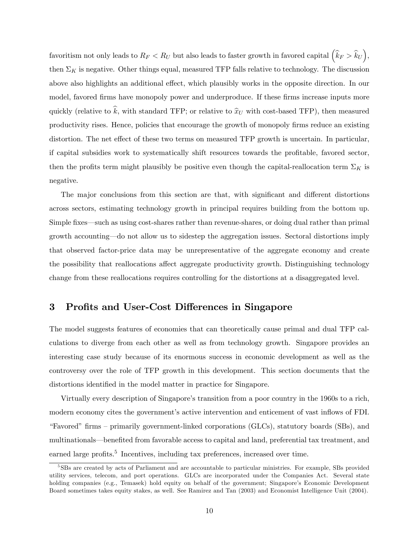favoritism not only leads to  $R_F < R_U$  but also leads to faster growth in favored capital  $(\hat{k}_F > \hat{k}_U)$ , then  $\Sigma_K$  is negative. Other things equal, measured TFP falls relative to technology. The discussion above also highlights an additional effect, which plausibly works in the opposite direction. In our model, favored firms have monopoly power and underproduce. If these firms increase inputs more quickly (relative to  $\hat{k}$ , with standard TFP; or relative to  $\hat{x}_U$  with cost-based TFP), then measured productivity rises. Hence, policies that encourage the growth of monopoly firms reduce an existing distortion. The net effect of these two terms on measured TFP growth is uncertain. In particular, if capital subsidies work to systematically shift resources towards the profitable, favored sector, then the profits term might plausibly be positive even though the capital-reallocation term  $\Sigma_K$  is negative.

The major conclusions from this section are that, with significant and different distortions across sectors, estimating technology growth in principal requires building from the bottom up. Simple fixes—such as using cost-shares rather than revenue-shares, or doing dual rather than primal growth accounting—do not allow us to sidestep the aggregation issues. Sectoral distortions imply that observed factor-price data may be unrepresentative of the aggregate economy and create the possibility that reallocations affect aggregate productivity growth. Distinguishing technology change from these reallocations requires controlling for the distortions at a disaggregated level.

## 3 Profits and User-Cost Differences in Singapore

The model suggests features of economies that can theoretically cause primal and dual TFP calculations to diverge from each other as well as from technology growth. Singapore provides an interesting case study because of its enormous success in economic development as well as the controversy over the role of TFP growth in this development. This section documents that the distortions identified in the model matter in practice for Singapore.

Virtually every description of Singapore's transition from a poor country in the 1960s to a rich, modern economy cites the government's active intervention and enticement of vast inflows of FDI. "Favored" firms – primarily government-linked corporations (GLCs), statutory boards (SBs), and multinationals—benefited from favorable access to capital and land, preferential tax treatment, and earned large profits.<sup>5</sup> Incentives, including tax preferences, increased over time.

<sup>5</sup> SBs are created by acts of Parliament and are accountable to particular ministries. For example, SBs provided utility services, telecom, and port operations. GLCs are incorporated under the Companies Act. Several state holding companies (e.g., Temasek) hold equity on behalf of the government; Singapore's Economic Development Board sometimes takes equity stakes, as well. See Ramirez and Tan (2003) and Economist Intelligence Unit (2004).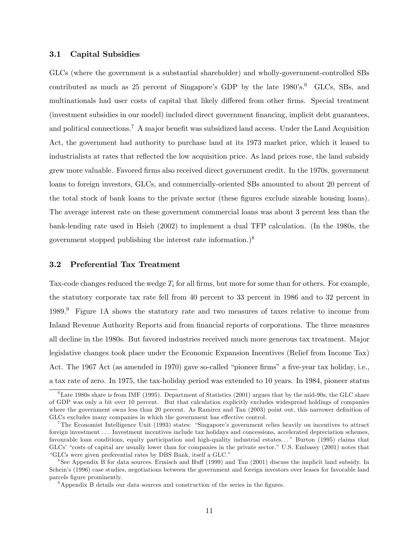### 3.1 Capital Subsidies

GLCs (where the government is a substantial shareholder) and wholly-government-controlled SBs contributed as much as 25 percent of Singapore's GDP by the late  $1980$ 's.<sup>6</sup> GLCs, SBs, and multinationals had user costs of capital that likely differed from other firms. Special treatment (investment subsidies in our model) included direct government Önancing, implicit debt guarantees, and political connections.<sup>7</sup> A major benefit was subsidized land access. Under the Land Acquisition Act, the government had authority to purchase land at its 1973 market price, which it leased to industrialists at rates that reflected the low acquisition price. As land prices rose, the land subsidy grew more valuable. Favored Örms also received direct government credit. In the 1970s, government loans to foreign investors, GLCs, and commercially-oriented SBs amounted to about 20 percent of the total stock of bank loans to the private sector (these figures exclude sizeable housing loans). The average interest rate on these government commercial loans was about 3 percent less than the bank-lending rate used in Hsieh (2002) to implement a dual TFP calculation. (In the 1980s, the government stopped publishing the interest rate information.)<sup>8</sup>

### 3.2 Preferential Tax Treatment

Tax-code changes reduced the wedge  $T_i$  for all firms, but more for some than for others. For example, the statutory corporate tax rate fell from 40 percent to 33 percent in 1986 and to 32 percent in 1989.<sup>9</sup> Figure 1A shows the statutory rate and two measures of taxes relative to income from Inland Revenue Authority Reports and from financial reports of corporations. The three measures all decline in the 1980s. But favored industries received much more generous tax treatment. Major legislative changes took place under the Economic Expansion Incentives (Relief from Income Tax) Act. The 1967 Act (as amended in 1970) gave so-called "pioneer firms" a five-year tax holiday, i.e., a tax rate of zero. In 1975, the tax-holiday period was extended to 10 years. In 1984, pioneer status

 $6$ Late 1980s share is from IMF (1995). Department of Statistics (2001) argues that by the mid-90s, the GLC share of GDP was only a bit over 10 percent. But that calculation explicitly excludes widespread holdings of companies where the government owns less than 20 percent. As Ramirez and Tan (2003) point out, this narrower definition of GLCs excludes many companies in which the government has effective control.

<sup>&</sup>lt;sup>7</sup>The Economist Intelligence Unit (1993) states: "Singapore's government relies heavily on incentives to attract foreign investment . . . Investment incentives include tax holidays and concessions, accelerated depreciation schemes, favourable loan conditions, equity participation and high-quality industrial estates. . . î Burton (1995) claims that GLCs' "costs of capital are usually lower than for companies in the private sector." U.S. Embassy (2001) notes that "GLCs were given preferential rates by DBS Bank, itself a GLC."

<sup>&</sup>lt;sup>8</sup>See Appendix B for data sources. Ermisch and Huff (1999) and Tan (2001) discuss the implicit land subsidy. In Schein's (1996) case studies, negotiations between the government and foreign investors over leases for favorable land parcels figure prominently.

 $9$ Appendix B details our data sources and construction of the series in the figures.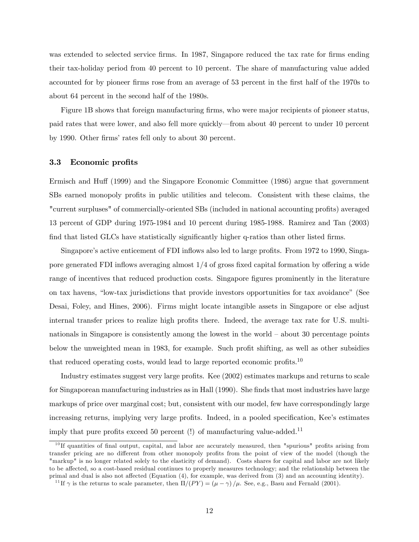was extended to selected service firms. In 1987, Singapore reduced the tax rate for firms ending their tax-holiday period from 40 percent to 10 percent. The share of manufacturing value added accounted for by pioneer firms rose from an average of 53 percent in the first half of the 1970s to about 64 percent in the second half of the 1980s.

Figure 1B shows that foreign manufacturing firms, who were major recipients of pioneer status, paid rates that were lower, and also fell more quickly—from about 40 percent to under 10 percent by 1990. Other firms' rates fell only to about 30 percent.

### 3.3 Economic profits

Ermisch and Huff (1999) and the Singapore Economic Committee (1986) argue that government SBs earned monopoly profits in public utilities and telecom. Consistent with these claims, the "current surpluses" of commercially-oriented SBs (included in national accounting profits) averaged 13 percent of GDP during 1975-1984 and 10 percent during 1985-1988. Ramirez and Tan (2003) find that listed GLCs have statistically significantly higher q-ratios than other listed firms.

Singapore's active enticement of FDI inflows also led to large profits. From 1972 to 1990, Singapore generated FDI inflows averaging almost  $1/4$  of gross fixed capital formation by offering a wide range of incentives that reduced production costs. Singapore figures prominently in the literature on tax havens, "low-tax jurisdictions that provide investors opportunities for tax avoidance" (See Desai, Foley, and Hines, 2006). Firms might locate intangible assets in Singapore or else adjust internal transfer prices to realize high profits there. Indeed, the average tax rate for U.S. multinationals in Singapore is consistently among the lowest in the world  $-$  about 30 percentage points below the unweighted mean in 1983, for example. Such profit shifting, as well as other subsidies that reduced operating costs, would lead to large reported economic profits.<sup>10</sup>

Industry estimates suggest very large profits. Kee (2002) estimates markups and returns to scale for Singaporean manufacturing industries as in Hall (1990). She finds that most industries have large markups of price over marginal cost; but, consistent with our model, few have correspondingly large increasing returns, implying very large profits. Indeed, in a pooled specification, Kee's estimates imply that pure profits exceed 50 percent (!) of manufacturing value-added.<sup>11</sup>

 $10$  If quantities of final output, capital, and labor are accurately measured, then "spurious" profits arising from transfer pricing are no different from other monopoly profits from the point of view of the model (though the "markup" is no longer related solely to the elasticity of demand). Costs shares for capital and labor are not likely to be affected, so a cost-based residual continues to properly measures technology; and the relationship between the primal and dual is also not affected (Equation  $(4)$ , for example, was derived from  $(3)$  and an accounting identity).

<sup>&</sup>lt;sup>11</sup>If  $\gamma$  is the returns to scale parameter, then  $\Pi/(PY) = (\mu - \gamma)/\mu$ . See, e.g., Basu and Fernald (2001).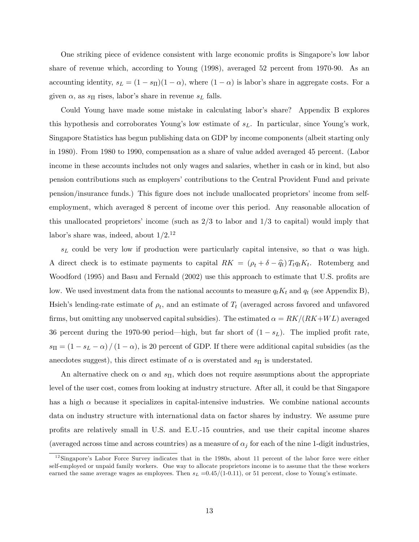One striking piece of evidence consistent with large economic profits is Singapore's low labor share of revenue which, according to Young (1998), averaged 52 percent from 1970-90. As an accounting identity,  $s_L = (1 - s_{\Pi})(1 - \alpha)$ , where  $(1 - \alpha)$  is labor's share in aggregate costs. For a given  $\alpha$ , as  $s_{\Pi}$  rises, labor's share in revenue  $s_L$  falls.

Could Young have made some mistake in calculating labor's share? Appendix B explores this hypothesis and corroborates Young's low estimate of  $s<sub>L</sub>$ . In particular, since Young's work, Singapore Statistics has begun publishing data on GDP by income components (albeit starting only in 1980). From 1980 to 1990, compensation as a share of value added averaged 45 percent. (Labor income in these accounts includes not only wages and salaries, whether in cash or in kind, but also pension contributions such as employers' contributions to the Central Provident Fund and private pension/insurance funds.) This figure does not include unallocated proprietors' income from selfemployment, which averaged 8 percent of income over this period. Any reasonable allocation of this unallocated proprietors' income (such as  $2/3$  to labor and  $1/3$  to capital) would imply that labor's share was, indeed, about  $1/2^{12}$ 

 $s_L$  could be very low if production were particularly capital intensive, so that  $\alpha$  was high. A direct check is to estimate payments to capital  $RK = (\rho_t + \delta - \hat{q}_t) T_t q_t K_t$ . Rotemberg and Woodford (1995) and Basu and Fernald (2002) use this approach to estimate that U.S. profits are low. We used investment data from the national accounts to measure  $q_t K_t$  and  $q_t$  (see Appendix B), Hsieh's lending-rate estimate of  $\rho_t$ , and an estimate of  $T_t$  (averaged across favored and unfavored firms, but omitting any unobserved capital subsidies). The estimated  $\alpha = RK/(RK+WL)$  averaged 36 percent during the 1970-90 period—high, but far short of  $(1 - s_L)$ . The implied profit rate,  $s_{\Pi} = (1 - s_L - \alpha) / (1 - \alpha)$ , is 20 percent of GDP. If there were additional capital subsidies (as the anecdotes suggest), this direct estimate of  $\alpha$  is overstated and  $s_{\Pi}$  is understated.

An alternative check on  $\alpha$  and  $s_{\Pi}$ , which does not require assumptions about the appropriate level of the user cost, comes from looking at industry structure. After all, it could be that Singapore has a high  $\alpha$  because it specializes in capital-intensive industries. We combine national accounts data on industry structure with international data on factor shares by industry. We assume pure proÖts are relatively small in U.S. and E.U.-15 countries, and use their capital income shares (averaged across time and across countries) as a measure of  $\alpha_j$  for each of the nine 1-digit industries,

<sup>&</sup>lt;sup>12</sup>Singapore's Labor Force Survey indicates that in the 1980s, about 11 percent of the labor force were either self-employed or unpaid family workers. One way to allocate proprietors income is to assume that the these workers earned the same average wages as employees. Then  $s_L = 0.45/(1-0.11)$ , or 51 percent, close to Young's estimate.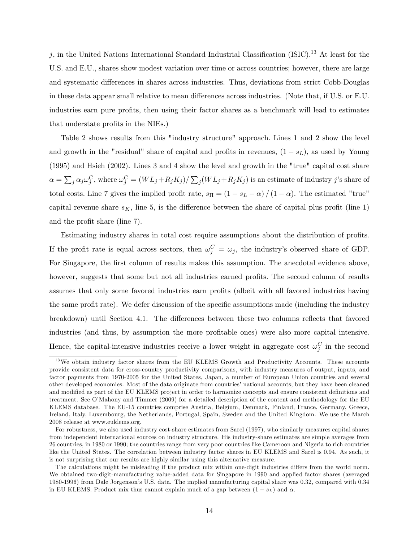$j$ , in the United Nations International Standard Industrial Classification (ISIC).<sup>13</sup> At least for the U.S. and E.U., shares show modest variation over time or across countries; however, there are large and systematic differences in shares across industries. Thus, deviations from strict Cobb-Douglas in these data appear small relative to mean differences across industries. (Note that, if U.S. or E.U. industries earn pure profits, then using their factor shares as a benchmark will lead to estimates that understate profits in the NIEs.)

Table 2 shows results from this "industry structure" approach. Lines 1 and 2 show the level and growth in the "residual" share of capital and profits in revenues,  $(1 - s_L)$ , as used by Young (1995) and Hsieh (2002). Lines 3 and 4 show the level and growth in the "true" capital cost share  $\alpha = \sum_j \alpha_j \omega_j^C$ , where  $\omega_j^C = (WL_j + R_jK_j)/\sum_j (WL_j + R_jK_j)$  is an estimate of industry j's share of total costs. Line 7 gives the implied profit rate,  $s_{\Pi} = (1 - s_L - \alpha) / (1 - \alpha)$ . The estimated "true" capital revenue share  $s<sub>K</sub>$ , line 5, is the difference between the share of capital plus profit (line 1) and the profit share (line 7).

Estimating industry shares in total cost require assumptions about the distribution of profits. If the profit rate is equal across sectors, then  $\omega_j^C = \omega_j$ , the industry's observed share of GDP. For Singapore, the first column of results makes this assumption. The anecdotal evidence above, however, suggests that some but not all industries earned profits. The second column of results assumes that only some favored industries earn profits (albeit with all favored industries having the same profit rate). We defer discussion of the specific assumptions made (including the industry breakdown) until Section 4.1. The differences between these two columns reflects that favored industries (and thus, by assumption the more profitable ones) were also more capital intensive. Hence, the capital-intensive industries receive a lower weight in aggregate cost  $\omega_j^C$  in the second

<sup>&</sup>lt;sup>13</sup>We obtain industry factor shares from the EU KLEMS Growth and Productivity Accounts. These accounts provide consistent data for cross-country productivity comparisons, with industry measures of output, inputs, and factor payments from 1970-2005 for the United States, Japan, a number of European Union countries and several other developed economies. Most of the data originate from countriesínational accounts; but they have been cleaned and modified as part of the EU KLEMS project in order to harmonize concepts and ensure consistent definitions and treatment. See OíMahony and Timmer (2009) for a detailed description of the content and methodology for the EU KLEMS database. The EU-15 countries comprise Austria, Belgium, Denmark, Finland, France, Germany, Greece, Ireland, Italy, Luxembourg, the Netherlands, Portugal, Spain, Sweden and the United Kingdom. We use the March 2008 release at www.euklems.org.

For robustness, we also used industry cost-share estimates from Sarel (1997), who similarly measures capital shares from independent international sources on industry structure. His industry-share estimates are simple averages from 26 countries, in 1980 or 1990; the countries range from very poor countries like Cameroon and Nigeria to rich countries like the United States. The correlation between industry factor shares in EU KLEMS and Sarel is 0.94. As such, it is not surprising that our results are highly similar using this alternative measure.

The calculations might be misleading if the product mix within one-digit industries differs from the world norm. We obtained two-digit-manufacturing value-added data for Singapore in 1990 and applied factor shares (averaged 1980-1996) from Dale Jorgensonís U.S. data. The implied manufacturing capital share was 0.32, compared with 0.34 in EU KLEMS. Product mix thus cannot explain much of a gap between  $(1 - s_L)$  and  $\alpha$ .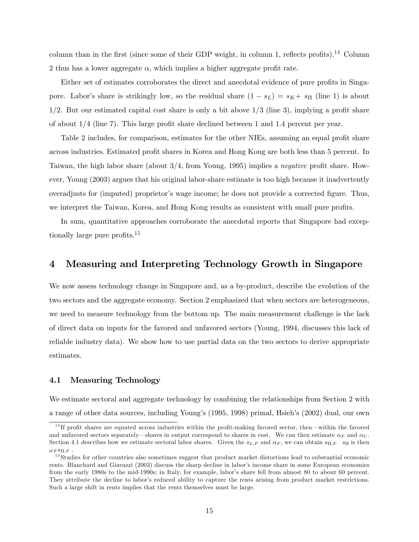column than in the first (since some of their GDP weight, in column 1, reflects profits).<sup>14</sup> Column 2 thus has a lower aggregate  $\alpha$ , which implies a higher aggregate profit rate.

Either set of estimates corroborates the direct and anecdotal evidence of pure profits in Singapore. Labor's share is strikingly low, so the residual share  $(1 - s_L) = s_K + s_{\Pi}$  (line 1) is about  $1/2$ . But our estimated capital cost share is only a bit above  $1/3$  (line 3), implying a profit share of about  $1/4$  (line 7). This large profit share declined between 1 and 1.4 percent per year.

Table 2 includes, for comparison, estimates for the other NIEs, assuming an equal profit share across industries. Estimated profit shares in Korea and Hong Kong are both less than 5 percent. In Taiwan, the high labor share (about  $3/4$ , from Young, 1995) implies a *negative* profit share. However, Young (2003) argues that his original labor-share estimate is too high because it inadvertently overadjusts for (imputed) proprietor's wage income; he does not provide a corrected figure. Thus, we interpret the Taiwan, Korea, and Hong Kong results as consistent with small pure profits.

In sum, quantitative approaches corroborate the anecdotal reports that Singapore had exceptionally large pure profits.<sup>15</sup>

## 4 Measuring and Interpreting Technology Growth in Singapore

We now assess technology change in Singapore and, as a by-product, describe the evolution of the two sectors and the aggregate economy. Section 2 emphasized that when sectors are heterogeneous, we need to measure technology from the bottom up. The main measurement challenge is the lack of direct data on inputs for the favored and unfavored sectors (Young, 1994, discusses this lack of reliable industry data). We show how to use partial data on the two sectors to derive appropriate estimates.

### 4.1 Measuring Technology

We estimate sectoral and aggregate technology by combining the relationships from Section 2 with a range of other data sources, including Youngís (1995, 1998) primal, Hsiehís (2002) dual, our own

 $14$  If profit shares are equated across industries within the profit-making favored sector, then—within the favored and unfavored sectors separately—shares in output correspond to shares in cost. We can then estimate  $\alpha_F$  and  $\alpha_U$ . Section 4.1 describes how we estimate sectoral labor shares. Given the  $s_{L,F}$  and  $\alpha_F$ , we can obtain  $s_{\Pi,F}$ .  $s_{\Pi}$  is then  $\omega_F s_{\Pi F}$ .

 $15$ Studies for other countries also sometimes suggest that product market distortions lead to substantial economic rents. Blanchard and Giavazzi (2003) discuss the sharp decline in labor's income share in some European economies from the early 1980s to the mid-1990s; in Italy, for example, labor's share fell from almost 80 to about 60 percent. They attribute the decline to labor's reduced ability to capture the rents arising from product market restrictions. Such a large shift in rents implies that the rents themselves must be large.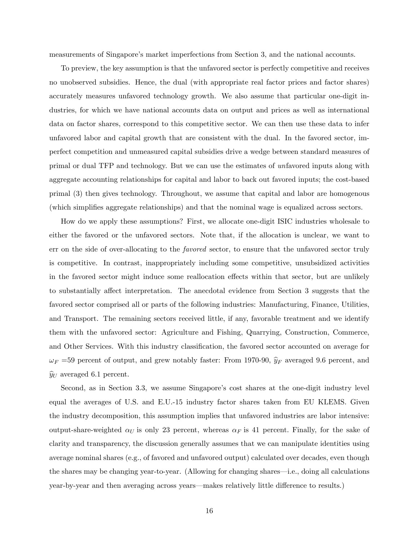measurements of Singapore's market imperfections from Section 3, and the national accounts.

To preview, the key assumption is that the unfavored sector is perfectly competitive and receives no unobserved subsidies. Hence, the dual (with appropriate real factor prices and factor shares) accurately measures unfavored technology growth. We also assume that particular one-digit industries, for which we have national accounts data on output and prices as well as international data on factor shares, correspond to this competitive sector. We can then use these data to infer unfavored labor and capital growth that are consistent with the dual. In the favored sector, imperfect competition and unmeasured capital subsidies drive a wedge between standard measures of primal or dual TFP and technology. But we can use the estimates of unfavored inputs along with aggregate accounting relationships for capital and labor to back out favored inputs; the cost-based primal (3) then gives technology. Throughout, we assume that capital and labor are homogenous (which simplifies aggregate relationships) and that the nominal wage is equalized across sectors.

How do we apply these assumptions? First, we allocate one-digit ISIC industries wholesale to either the favored or the unfavored sectors. Note that, if the allocation is unclear, we want to err on the side of over-allocating to the favored sector, to ensure that the unfavored sector truly is competitive. In contrast, inappropriately including some competitive, unsubsidized activities in the favored sector might induce some reallocation effects within that sector, but are unlikely to substantially affect interpretation. The anecdotal evidence from Section 3 suggests that the favored sector comprised all or parts of the following industries: Manufacturing, Finance, Utilities, and Transport. The remaining sectors received little, if any, favorable treatment and we identify them with the unfavored sector: Agriculture and Fishing, Quarrying, Construction, Commerce, and Other Services. With this industry classification, the favored sector accounted on average for  $\omega_F$  =59 percent of output, and grew notably faster: From 1970-90,  $\hat{y}_F$  averaged 9.6 percent, and  $\widehat{y}_U$  averaged 6.1 percent.

Second, as in Section 3.3, we assume Singapore's cost shares at the one-digit industry level equal the averages of U.S. and E.U.-15 industry factor shares taken from EU KLEMS. Given the industry decomposition, this assumption implies that unfavored industries are labor intensive: output-share-weighted  $\alpha_U$  is only 23 percent, whereas  $\alpha_F$  is 41 percent. Finally, for the sake of clarity and transparency, the discussion generally assumes that we can manipulate identities using average nominal shares (e.g., of favored and unfavored output) calculated over decades, even though the shares may be changing year-to-year. (Allowing for changing shares—i.e., doing all calculations year-by-year and then averaging across years—makes relatively little difference to results.)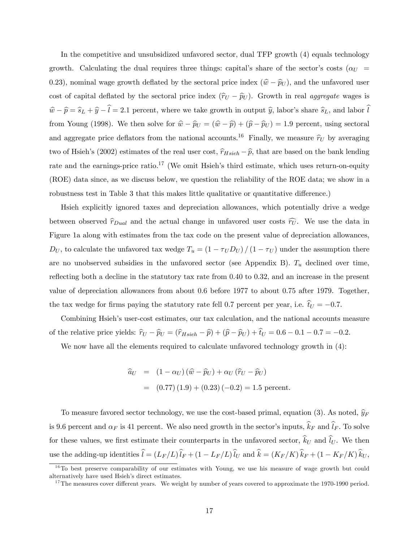In the competitive and unsubsidized unfavored sector, dual TFP growth (4) equals technology growth. Calculating the dual requires three things: capital's share of the sector's costs ( $\alpha_U$ ) 0.23), nominal wage growth deflated by the sectoral price index  $(\hat{w} - \hat{p}_U)$ , and the unfavored user cost of capital deflated by the sectoral price index  $(\hat{r}_U - \hat{p}_U)$ . Growth in real aggregate wages is  $\hat{w} - \hat{p} = \hat{s}_L + \hat{y} - \hat{l} = 2.1$  percent, where we take growth in output  $\hat{y}$ , labor's share  $\hat{s}_L$ , and labor  $\hat{l}$ from Young (1998). We then solve for  $\hat{w} - \hat{p}_U = (\hat{w} - \hat{p}) + (\hat{p} - \hat{p}_U) = 1.9$  percent, using sectoral and aggregate price deflators from the national accounts.<sup>16</sup> Finally, we measure  $\hat{r}_U$  by averaging two of Hsieh's (2002) estimates of the real user cost,  $\hat{r}_{Hsieh} - \hat{p}$ , that are based on the bank lending rate and the earnings-price ratio.<sup>17</sup> (We omit Hsieh's third estimate, which uses return-on-equity (ROE) data since, as we discuss below, we question the reliability of the ROE data; we show in a robustness test in Table 3 that this makes little qualitative or quantitative difference.)

Hsieh explicitly ignored taxes and depreciation allowances, which potentially drive a wedge between observed  $\hat{r}_{Dual}$  and the actual change in unfavored user costs  $\hat{r}_{U}$ . We use the data in Figure 1a along with estimates from the tax code on the present value of depreciation allowances,  $D_U$ , to calculate the unfavored tax wedge  $T_u = \left(1 - \tau_U D_U\right) / \left(1 - \tau_U\right)$  under the assumption there are no unobserved subsidies in the unfavored sector (see Appendix B).  $T_u$  declined over time, reflecting both a decline in the statutory tax rate from  $0.40$  to  $0.32$ , and an increase in the present value of depreciation allowances from about 0.6 before 1977 to about 0.75 after 1979. Together, the tax wedge for firms paying the statutory rate fell 0.7 percent per year, i.e.  $\hat{t}_U = -0.7$ .

Combining Hsieh's user-cost estimates, our tax calculation, and the national accounts measure of the relative price yields:  $\hat{r}_U - \hat{p}_U = (\hat{r}_{Hsieh} - \hat{p}) + (\hat{p} - \hat{p}_U) + \hat{t}_U = 0.6 - 0.1 - 0.7 = -0.2$ .

We now have all the elements required to calculate unfavored technology growth in  $(4)$ :

$$
\begin{aligned}\n\hat{a}_U &= (1 - \alpha_U) (\hat{w} - \hat{p}_U) + \alpha_U (\hat{r}_U - \hat{p}_U) \\
&= (0.77) (1.9) + (0.23) (-0.2) = 1.5 \text{ percent}\n\end{aligned}
$$

To measure favored sector technology, we use the cost-based primal, equation (3). As noted,  $\widehat{y}_F$ is 9.6 percent and  $\alpha_F$  is 41 percent. We also need growth in the sector's inputs,  $\hat{k}_F$  and  $\hat{l}_F$ . To solve for these values, we first estimate their counterparts in the unfavored sector,  $\hat{k}_U$  and  $\hat{l}_U$ . We then use the adding-up identities  $\hat{l} = (L_F/L)\hat{l}_F + (1 - L_F/L)\hat{l}_U$  and  $\hat{k} = (K_F/K)\hat{k}_F + (1 - K_F/K)\hat{k}_U$ ,

<sup>&</sup>lt;sup>16</sup>To best preserve comparability of our estimates with Young, we use his measure of wage growth but could alternatively have used Hsieh's direct estimates.

 $17$ The measures cover different years. We weight by number of years covered to approximate the 1970-1990 period.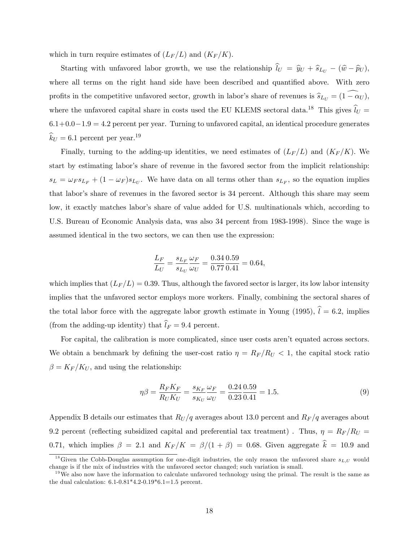which in turn require estimates of  $(L_F/L)$  and  $(K_F/K)$ .

Starting with unfavored labor growth, we use the relationship  $\hat{l}_U = \hat{y}_U + \hat{s}_{L_U} - (\hat{w} - \hat{p}_U)$ , where all terms on the right hand side have been described and quantified above. With zero profits in the competitive unfavored sector, growth in labor's share of revenues is  $\hat{s}_{L_U} = (1 - \alpha_U)$ , where the unfavored capital share in costs used the EU KLEMS sectoral data.<sup>18</sup> This gives  $\hat{l}_U$  =  $6.1+0.0-1.9 = 4.2$  percent per year. Turning to unfavored capital, an identical procedure generates  $\hat{k}_U = 6.1$  percent per year.<sup>19</sup>

Finally, turning to the adding-up identities, we need estimates of  $(L_F/L)$  and  $(K_F/K)$ . We start by estimating labor's share of revenue in the favored sector from the implicit relationship:  $s_L = \omega_F s_{L_F} + (1 - \omega_F) s_{L_U}$ . We have data on all terms other than  $s_{L_F}$ , so the equation implies that labor's share of revenues in the favored sector is 34 percent. Although this share may seem low, it exactly matches labor's share of value added for U.S. multinationals which, according to U.S. Bureau of Economic Analysis data, was also 34 percent from 1983-1998). Since the wage is assumed identical in the two sectors, we can then use the expression:

$$
\frac{L_F}{L_U} = \frac{s_{L_F}}{s_{L_U}} \frac{\omega_F}{\omega_U} = \frac{0.34}{0.77} \frac{0.59}{0.41} = 0.64,
$$

which implies that  $(L_F/L) = 0.39$ . Thus, although the favored sector is larger, its low labor intensity implies that the unfavored sector employs more workers. Finally, combining the sectoral shares of the total labor force with the aggregate labor growth estimate in Young (1995),  $\hat{l} = 6.2$ , implies (from the adding-up identity) that  $\hat{l}_F = 9.4$  percent.

For capital, the calibration is more complicated, since user costs aren't equated across sectors. We obtain a benchmark by defining the user-cost ratio  $\eta = R_F/R_U < 1$ , the capital stock ratio  $\beta = K_F/K_U$ , and using the relationship:

$$
\eta \beta = \frac{R_F K_F}{R_U K_U} = \frac{s_{K_F}}{s_{K_U}} \frac{\omega_F}{\omega_U} = \frac{0.24}{0.23} \frac{0.59}{0.41} = 1.5. \tag{9}
$$

Appendix B details our estimates that  $R_U/q$  averages about 13.0 percent and  $R_F/q$  averages about 9.2 percent (reflecting subsidized capital and preferential tax treatment). Thus,  $\eta = R_F/R_U$ 0.71, which implies  $\beta = 2.1$  and  $K_F/K = \beta/(1 + \beta) = 0.68$ . Given aggregate  $\hat{k} = 10.9$  and

<sup>&</sup>lt;sup>18</sup>Given the Cobb-Douglas assumption for one-digit industries, the only reason the unfavored share  $s_{L,U}$  would change is if the mix of industries with the unfavored sector changed; such variation is small.

 $19\,\text{We also now have the information to calculate unfavorable technology using the primal. The result is the same as$ the dual calculation: 6.1-0.81\*4.2-0.19\*6.1=1.5 percent.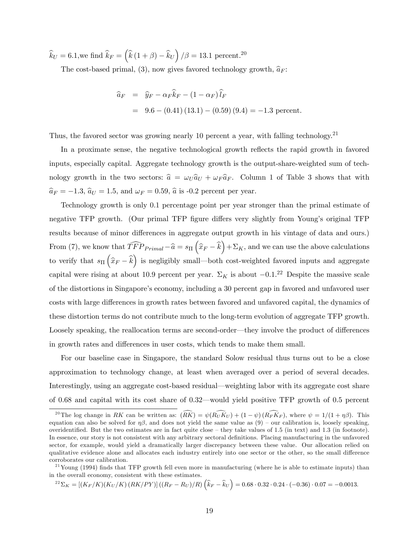$\widehat k_U=6.1,$  we find  $\widehat k_F=\left(\widehat k\left(1+\beta\right)-\widehat k_U\right)/\beta=13.1$  percent.<sup>20</sup>

The cost-based primal, (3), now gives favored technology growth,  $\hat{a}_F$ :

$$
\begin{aligned}\n\widehat{a}_F &= \widehat{y}_F - \alpha_F \widehat{k}_F - (1 - \alpha_F) \widehat{l}_F \\
&= 9.6 - (0.41)(13.1) - (0.59)(9.4) = -1.3 \text{ percent.}\n\end{aligned}
$$

Thus, the favored sector was growing nearly 10 percent a year, with falling technology.<sup>21</sup>

In a proximate sense, the negative technological growth reflects the rapid growth in favored inputs, especially capital. Aggregate technology growth is the output-share-weighted sum of technology growth in the two sectors:  $\hat{a} = \omega_U \hat{a}_U + \omega_F \hat{a}_F$ . Column 1 of Table 3 shows that with  $\widehat{a}_F = -1.3,$   $\widehat{a}_U = 1.5,$  and  $\omega_F = 0.59,$   $\widehat{a}$  is -0.2 percent per year.

Technology growth is only 0.1 percentage point per year stronger than the primal estimate of negative TFP growth. (Our primal TFP figure differs very slightly from Young's original TFP results because of minor differences in aggregate output growth in his vintage of data and ours.) From (7), we know that  $\widehat{TFP}_{Primal} - \widehat{a} = s_{\Pi} (\widehat{x}_F - \widehat{k}) + \Sigma_K$ , and we can use the above calculations to verify that  $s_{\Pi}(\hat{x}_F - \hat{k})$  is negligibly small—both cost-weighted favored inputs and aggregate capital were rising at about 10.9 percent per year.  $\Sigma_K$  is about  $-0.1$ .<sup>22</sup> Despite the massive scale of the distortions in Singapore's economy, including a 30 percent gap in favored and unfavored user costs with large differences in growth rates between favored and unfavored capital, the dynamics of these distortion terms do not contribute much to the long-term evolution of aggregate TFP growth. Loosely speaking, the reallocation terms are second-order—they involve the product of differences in growth rates and differences in user costs, which tends to make them small.

For our baseline case in Singapore, the standard Solow residual thus turns out to be a close approximation to technology change, at least when averaged over a period of several decades. Interestingly, using an aggregate cost-based residual—weighting labor with its aggregate cost share of 0.68 and capital with its cost share of 0.32—would yield positive TFP growth of 0.5 percent

$$
^{22}\Sigma_K = [(K_F/K)(K_U/K)(RK/PY)]((R_F - R_U)/R)\left(\hat{k}_F - \hat{k}_U\right) = 0.68 \cdot 0.32 \cdot 0.24 \cdot (-0.36) \cdot 0.07 = -0.0013.
$$

<sup>&</sup>lt;sup>20</sup>The log change in RK can be written as:  $(\widehat{RK}) = \psi(\widehat{R_UK_U}) + (1 - \psi)(\widehat{R_FK_F})$ , where  $\psi = 1/(1 + \eta\beta)$ . This equation can also be solved for  $\eta\beta$ , and does not yield the same value as  $(9)$  – our calibration is, loosely speaking, overidentified. But the two estimates are in fact quite close  $-$  they take values of 1.5 (in text) and 1.3 (in footnote). In essence, our story is not consistent with any arbitrary sectoral definitions. Placing manufacturing in the unfavored sector, for example, would yield a dramatically larger discrepancy between these value. Our allocation relied on qualitative evidence alone and allocates each industry entirely into one sector or the other, so the small difference corroborates our calibration.

<sup>&</sup>lt;sup>21</sup>Young (1994) finds that TFP growth fell even more in manufacturing (where he is able to estimate inputs) than in the overall economy, consistent with these estimates.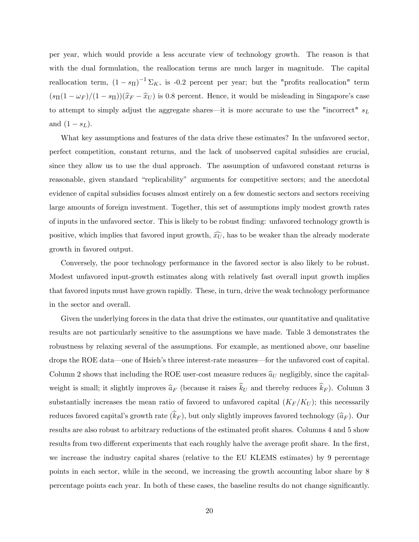per year, which would provide a less accurate view of technology growth. The reason is that with the dual formulation, the reallocation terms are much larger in magnitude. The capital reallocation term,  $(1 - s_{\Pi})^{-1} \Sigma_K$ , is -0.2 percent per year; but the "profits reallocation" term  $(s_{\Pi}(1 - \omega_F)/(1 - s_{\Pi}))(\hat{x}_F - \hat{x}_U)$  is 0.8 percent. Hence, it would be misleading in Singapore's case to attempt to simply adjust the aggregate shares—it is more accurate to use the "incorrect"  $s_L$ and  $(1 - s_L)$ .

What key assumptions and features of the data drive these estimates? In the unfavored sector, perfect competition, constant returns, and the lack of unobserved capital subsidies are crucial, since they allow us to use the dual approach. The assumption of unfavored constant returns is reasonable, given standard "replicability" arguments for competitive sectors; and the anecdotal evidence of capital subsidies focuses almost entirely on a few domestic sectors and sectors receiving large amounts of foreign investment. Together, this set of assumptions imply modest growth rates of inputs in the unfavored sector. This is likely to be robust Önding: unfavored technology growth is positive, which implies that favored input growth,  $\widehat{x_U}$ , has to be weaker than the already moderate growth in favored output.

Conversely, the poor technology performance in the favored sector is also likely to be robust. Modest unfavored input-growth estimates along with relatively fast overall input growth implies that favored inputs must have grown rapidly. These, in turn, drive the weak technology performance in the sector and overall.

Given the underlying forces in the data that drive the estimates, our quantitative and qualitative results are not particularly sensitive to the assumptions we have made. Table 3 demonstrates the robustness by relaxing several of the assumptions. For example, as mentioned above, our baseline drops the ROE data—one of Hsieh's three interest-rate measures—for the unfavored cost of capital. Column 2 shows that including the ROE user-cost measure reduces  $\hat{a}_U$  negligibly, since the capitalweight is small; it slightly improves  $\hat{a}_F$  (because it raises  $\hat{k}_U$  and thereby reduces  $\hat{k}_F$ ). Column 3 substantially increases the mean ratio of favored to unfavored capital  $(K_F/K_U)$ ; this necessarily reduces favored capital's growth rate  $(\widehat{k}_F)$ , but only slightly improves favored technology  $(\widehat{a}_F)$ . Our results are also robust to arbitrary reductions of the estimated profit shares. Columns 4 and 5 show results from two different experiments that each roughly halve the average profit share. In the first, we increase the industry capital shares (relative to the EU KLEMS estimates) by 9 percentage points in each sector, while in the second, we increasing the growth accounting labor share by 8 percentage points each year. In both of these cases, the baseline results do not change significantly.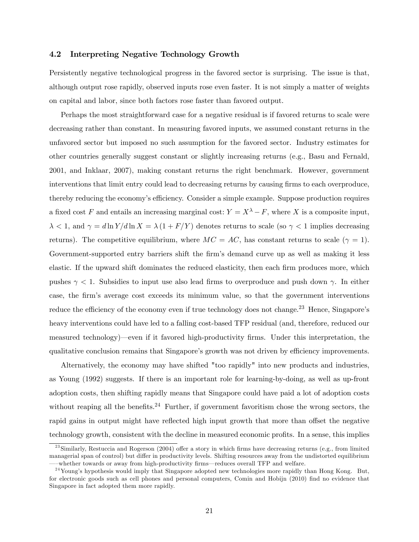### 4.2 Interpreting Negative Technology Growth

Persistently negative technological progress in the favored sector is surprising. The issue is that, although output rose rapidly, observed inputs rose even faster. It is not simply a matter of weights on capital and labor, since both factors rose faster than favored output.

Perhaps the most straightforward case for a negative residual is if favored returns to scale were decreasing rather than constant. In measuring favored inputs, we assumed constant returns in the unfavored sector but imposed no such assumption for the favored sector. Industry estimates for other countries generally suggest constant or slightly increasing returns (e.g., Basu and Fernald, 2001, and Inklaar, 2007), making constant returns the right benchmark. However, government interventions that limit entry could lead to decreasing returns by causing firms to each overproduce, thereby reducing the economy's efficiency. Consider a simple example. Suppose production requires a fixed cost F and entails an increasing marginal cost:  $Y = X^{\lambda} - F$ , where X is a composite input,  $\lambda < 1$ , and  $\gamma = d \ln Y/d \ln X = \lambda (1 + F/Y)$  denotes returns to scale (so  $\gamma < 1$  implies decreasing returns). The competitive equilibrium, where  $MC = AC$ , has constant returns to scale ( $\gamma = 1$ ). Government-supported entry barriers shift the firm's demand curve up as well as making it less elastic. If the upward shift dominates the reduced elasticity, then each firm produces more, which pushes  $\gamma$  < 1. Subsidies to input use also lead firms to overproduce and push down  $\gamma$ . In either case, the firm's average cost exceeds its minimum value, so that the government interventions reduce the efficiency of the economy even if true technology does not change.<sup>23</sup> Hence, Singapore's heavy interventions could have led to a falling cost-based TFP residual (and, therefore, reduced our measured technology)—even if it favored high-productivity firms. Under this interpretation, the qualitative conclusion remains that Singapore's growth was not driven by efficiency improvements.

Alternatively, the economy may have shifted "too rapidly" into new products and industries, as Young (1992) suggests. If there is an important role for learning-by-doing, as well as up-front adoption costs, then shifting rapidly means that Singapore could have paid a lot of adoption costs without reaping all the benefits.<sup>24</sup> Further, if government favoritism chose the wrong sectors, the rapid gains in output might have reflected high input growth that more than offset the negative technology growth, consistent with the decline in measured economic profits. In a sense, this implies

 $^{23}$ Similarly, Restuccia and Rogerson (2004) offer a story in which firms have decreasing returns (e.g., from limited managerial span of control) but differ in productivity levels. Shifting resources away from the undistorted equilibrium whether towards or away from high-productivity firms—reduces overall TFP and welfare.

 $^{24}$ Young's hypothesis would imply that Singapore adopted new technologies more rapidly than Hong Kong. But, for electronic goods such as cell phones and personal computers, Comin and Hobijn (2010) find no evidence that Singapore in fact adopted them more rapidly.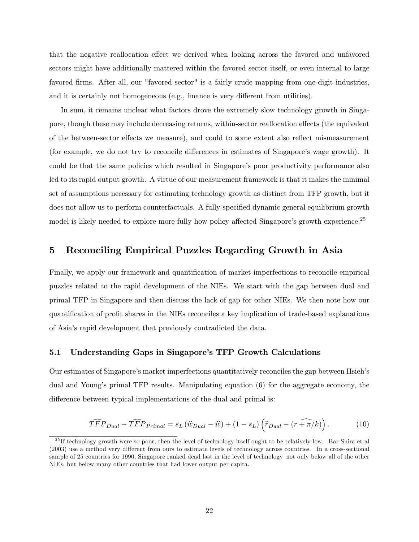that the negative reallocation effect we derived when looking across the favored and unfavored sectors might have additionally mattered within the favored sector itself, or even internal to large favored firms. After all, our "favored sector" is a fairly crude mapping from one-digit industries, and it is certainly not homogeneous (e.g., finance is very different from utilities).

In sum, it remains unclear what factors drove the extremely slow technology growth in Singapore, though these may include decreasing returns, within-sector reallocation effects (the equivalent of the between-sector effects we measure), and could to some extent also reflect mismeasurement (for example, we do not try to reconcile differences in estimates of Singapore's wage growth). It could be that the same policies which resulted in Singapore's poor productivity performance also led to its rapid output growth. A virtue of our measurement framework is that it makes the minimal set of assumptions necessary for estimating technology growth as distinct from TFP growth, but it does not allow us to perform counterfactuals. A fully-specified dynamic general equilibrium growth model is likely needed to explore more fully how policy affected Singapore's growth experience.<sup>25</sup>

## 5 Reconciling Empirical Puzzles Regarding Growth in Asia

Finally, we apply our framework and quantification of market imperfections to reconcile empirical puzzles related to the rapid development of the NIEs. We start with the gap between dual and primal TFP in Singapore and then discuss the lack of gap for other NIEs. We then note how our quantification of profit shares in the NIEs reconciles a key implication of trade-based explanations of Asiaís rapid development that previously contradicted the data.

### 5.1 Understanding Gaps in Singaporeís TFP Growth Calculations

Our estimates of Singapore's market imperfections quantitatively reconciles the gap between Hsieh's dual and Young's primal TFP results. Manipulating equation (6) for the aggregate economy, the difference between typical implementations of the dual and primal is:

$$
\widehat{TFP}_{Dual} - \widehat{TFP}_{Primal} = s_L \left( \widehat{w}_{Dual} - \widehat{w} \right) + (1 - s_L) \left( \widehat{r}_{Dual} - \widehat{(r + \pi/k)} \right). \tag{10}
$$

 $^{25}$  If technology growth were so poor, then the level of technology itself ought to be relatively low. Bar-Shira et al  $(2003)$  use a method very different from ours to estimate levels of technology across countries. In a cross-sectional sample of 25 countries for 1990, Singapore ranked dead last in the level of technology–not only below all of the other NIEs, but below many other countries that had lower output per capita.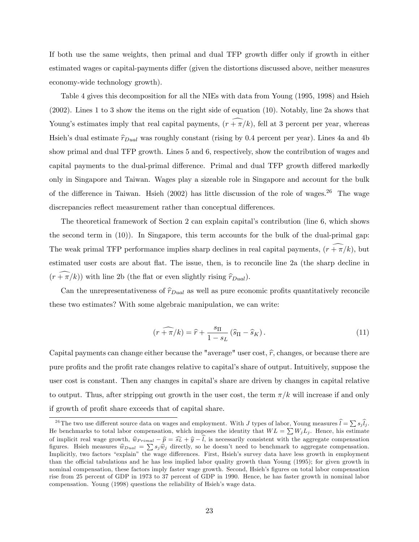If both use the same weights, then primal and dual TFP growth differ only if growth in either estimated wages or capital-payments differ (given the distortions discussed above, neither measures economy-wide technology growth).

Table 4 gives this decomposition for all the NIEs with data from Young (1995, 1998) and Hsieh (2002). Lines 1 to 3 show the items on the right side of equation (10). Notably, line 2a shows that Young's estimates imply that real capital payments,  $(r + \pi/k)$ , fell at 3 percent per year, whereas Hsieh's dual estimate  $\hat{r}_{Dual}$  was roughly constant (rising by 0.4 percent per year). Lines 4a and 4b show primal and dual TFP growth. Lines 5 and 6, respectively, show the contribution of wages and capital payments to the dual-primal difference. Primal and dual TFP growth differed markedly only in Singapore and Taiwan. Wages play a sizeable role in Singapore and account for the bulk of the difference in Taiwan. Hsieh (2002) has little discussion of the role of wages.<sup>26</sup> The wage discrepancies reflect measurement rather than conceptual differences.

The theoretical framework of Section 2 can explain capital's contribution (line 6, which shows the second term in (10)). In Singapore, this term accounts for the bulk of the dual-primal gap: The weak primal TFP performance implies sharp declines in real capital payments,  $(r + \pi/k)$ , but estimated user costs are about flat. The issue, then, is to reconcile line 2a (the sharp decline in  $(r + \pi/k)$ ) with line 2b (the flat or even slightly rising  $\hat{r}_{Dual}$ ).

Can the unrepresentativeness of  $\hat{r}_{Dual}$  as well as pure economic profits quantitatively reconcile these two estimates? With some algebraic manipulation, we can write:

$$
\widehat{(r+\pi/k)} = \widehat{r} + \frac{s_{\Pi}}{1-s_L} \left(\widehat{s}_{\Pi} - \widehat{s}_K\right). \tag{11}
$$

Capital payments can change either because the "average" user cost,  $\hat{r}$ , changes, or because there are pure profits and the profit rate changes relative to capital's share of output. Intuitively, suppose the user cost is constant. Then any changes in capital's share are driven by changes in capital relative to output. Thus, after stripping out growth in the user cost, the term  $\pi/k$  will increase if and only if growth of profit share exceeds that of capital share.

<sup>&</sup>lt;sup>26</sup>The two use different source data on wages and employment. With J types of labor, Young measures  $\hat{l} = \sum s_j \hat{l}_j$ . He benchmarks to total labor compensation, which imposes the identity that  $WL = \sum W_j L_j$ . Hence, his estimate of implicit real wage growth,  $\hat{w}_{Primal} - \hat{p} = \hat{s}_L + \hat{y} - \hat{l}$ , is necessarily consistent with the aggregate compensation figures. Hsieh measures  $\hat{w}_{Dual} = \sum s_j \hat{w}_j$  directly, so he doesn't need to benchmark to aggregate compensation. Implicitly, two factors "explain" the wage differences. First, Hsieh's survey data have less growth in employment than the official tabulations and he has less implied labor quality growth than Young (1995); for given growth in nominal compensation, these factors imply faster wage growth. Second, Hsieh's figures on total labor compensation rise from 25 percent of GDP in 1973 to 37 percent of GDP in 1990. Hence, he has faster growth in nominal labor compensation. Young (1998) questions the reliability of Hsieh's wage data.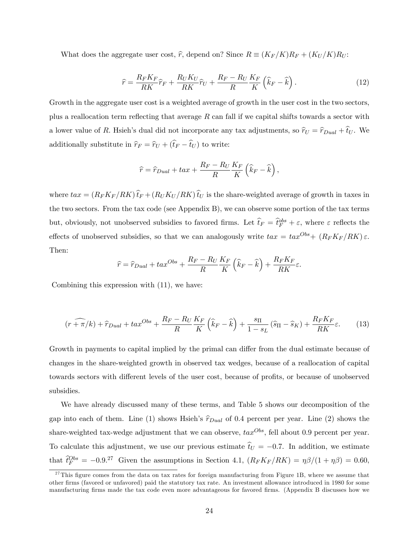What does the aggregate user cost,  $\hat{r}$ , depend on? Since  $R \equiv (K_F/K)R_F + (K_U/K)R_U$ :

$$
\widehat{r} = \frac{R_F K_F}{RK} \widehat{r}_F + \frac{R_U K_U}{RK} \widehat{r}_U + \frac{R_F - R_U}{R} \frac{K_F}{K} \left( \widehat{k}_F - \widehat{k} \right). \tag{12}
$$

Growth in the aggregate user cost is a weighted average of growth in the user cost in the two sectors, plus a reallocation term reflecting that average  $R$  can fall if we capital shifts towards a sector with a lower value of R. Hsieh's dual did not incorporate any tax adjustments, so  $\hat{r}_U = \hat{r}_{Dual} + \hat{t}_U$ . We additionally substitute in  $\widehat{r}_F = \widehat{r}_U + (\widehat{t}_F - \widehat{t}_U )$  to write:

$$
\widehat{r} = \widehat{r}_{Dual} + tax + \frac{R_F - R_U}{R} \frac{K_F}{K} \left( \widehat{k}_F - \widehat{k} \right),
$$

where  $tax = (R_F K_F/RK) \hat{t}_F + (R_U K_U/RK) \hat{t}_U$  is the share-weighted average of growth in taxes in the two sectors. From the tax code (see Appendix B), we can observe some portion of the tax terms but, obviously, not unobserved subsidies to favored firms. Let  $\hat{t}_F = \hat{t}_F^{\text{obs}} + \varepsilon$ , where  $\varepsilon$  reflects the effects of unobserved subsidies, so that we can analogously write  $tax = tax^{Obs} + (R_F K_F / RK) \varepsilon$ . Then:

$$
\widehat{r} = \widehat{r}_{Dual} + tax^{Obs} + \frac{R_F - R_U}{R} \frac{K_F}{K} \left( \widehat{k}_F - \widehat{k} \right) + \frac{R_F K_F}{RK} \varepsilon.
$$

Combining this expression with (11), we have:

$$
\left(r + \widehat{\pi}/k\right) + \widehat{r}_{Dual} + tx^{Obs} + \frac{R_F - R_U}{R} \frac{K_F}{K} \left(\widehat{k}_F - \widehat{k}\right) + \frac{s_{\Pi}}{1 - s_L} \left(\widehat{s}_{\Pi} - \widehat{s}_K\right) + \frac{R_F K_F}{RK}\varepsilon.
$$
 (13)

Growth in payments to capital implied by the primal can differ from the dual estimate because of changes in the share-weighted growth in observed tax wedges, because of a reallocation of capital towards sectors with different levels of the user cost, because of profits, or because of unobserved subsidies.

We have already discussed many of these terms, and Table 5 shows our decomposition of the gap into each of them. Line (1) shows Hsieh's  $\hat{r}_{Dual}$  of 0.4 percent per year. Line (2) shows the share-weighted tax-wedge adjustment that we can observe,  $tax^{Obs}$ , fell about 0.9 percent per year. To calculate this adjustment, we use our previous estimate  $\hat{t}_U = -0.7$ . In addition, we estimate that  $\hat{t}_F^{Obs} = -0.9$ <sup>27</sup> Given the assumptions in Section 4.1,  $(R_F K_F / R K) = \eta \beta / (1 + \eta \beta) = 0.60$ ,

 $27$ This figure comes from the data on tax rates for foreign manufacturing from Figure 1B, where we assume that other Örms (favored or unfavored) paid the statutory tax rate. An investment allowance introduced in 1980 for some manufacturing firms made the tax code even more advantageous for favored firms. (Appendix B discusses how we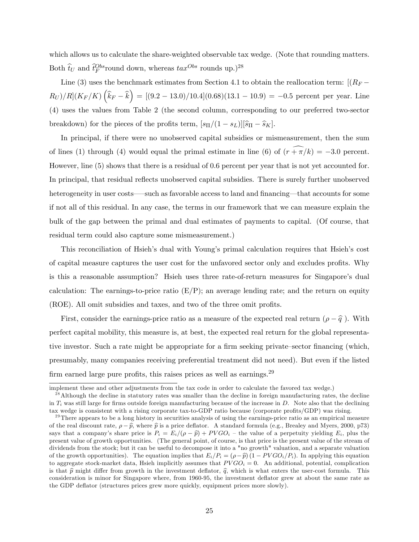which allows us to calculate the share-weighted observable tax wedge. (Note that rounding matters. Both  $\hat{t}_U$  and  $\hat{t}_F^{Obs}$  round down, whereas  $\text{tax}^{Obs}$  rounds up.)<sup>28</sup>

Line (3) uses the benchmark estimates from Section 4.1 to obtain the reallocation term:  $[(R_F R_U)/R(K_F/K)\left(\widehat{k}_F - \widehat{k}\right) = [(9.2 - 13.0)/10.4](0.68)(13.1 - 10.9) = -0.5$  percent per year. Line (4) uses the values from Table 2 (the second column, corresponding to our preferred two-sector breakdown) for the pieces of the profits term,  $[s_{\Pi}/(1 - s_L)][\widehat{s}_{\Pi} - \widehat{s}_K]$ .

In principal, if there were no unobserved capital subsidies or mismeasurement, then the sum of lines (1) through (4) would equal the primal estimate in line (6) of  $(\widehat{r+\pi/k}) = -3.0$  percent. However, line (5) shows that there is a residual of 0.6 percent per year that is not yet accounted for. In principal, that residual reflects unobserved capital subsidies. There is surely further unobserved heterogeneity in user costs—such as favorable access to land and financing—that accounts for some if not all of this residual. In any case, the terms in our framework that we can measure explain the bulk of the gap between the primal and dual estimates of payments to capital. (Of course, that residual term could also capture some mismeasurement.)

This reconciliation of Hsieh's dual with Young's primal calculation requires that Hsieh's cost of capital measure captures the user cost for the unfavored sector only and excludes profits. Why is this a reasonable assumption? Hsieh uses three rate-of-return measures for Singapore's dual calculation: The earnings-to-price ratio  $(E/P)$ ; an average lending rate; and the return on equity (ROE). All omit subsidies and taxes, and two of the three omit profits.

First, consider the earnings-price ratio as a measure of the expected real return  $(\rho - \hat{q})$ . With perfect capital mobility, this measure is, at best, the expected real return for the global representative investor. Such a rate might be appropriate for a firm seeking private–sector financing (which, presumably, many companies receiving preferential treatment did not need). But even if the listed firm earned large pure profits, this raises prices as well as earnings.<sup>29</sup>

implement these and other adjustments from the tax code in order to calculate the favored tax wedge.)

 $^{28}$  Although the decline in statutory rates was smaller than the decline in foreign manufacturing rates, the decline in  $T_i$  was still large for firms outside foreign manufacturing because of the increase in D. Note also that the declining tax wedge is consistent with a rising corporate tax-to-GDP ratio because (corporate profits/GDP) was rising.

 $29$ There appears to be a long history in securities analysis of using the earnings-price ratio as an empirical measure of the real discount rate,  $\rho - \hat{p}$ , where  $\hat{p}$  is a price deflator. A standard formula (e.g., Brealey and Myers, 2000, p73) says that a company's share price is  $P_i = E_i/(\rho - \hat{p}) + PVGO_i$  – the value of a perpetuity yielding  $E_i$ , plus the present value of growth opportunities. (The general point, of course, is that price is the present value of the stream of dividends from the stock; but it can be useful to decompose it into a "no growth" valuation, and a separate valuation of the growth opportunities). The equation implies that  $E_i/P_i = (\rho - \hat{p}) (1 - PVGO_i/P_i)$ . In applying this equation to aggregate stock-market data, Hsieh implicitly assumes that  $PVGO_i = 0$ . An additional, potential, complication is that  $\hat{p}$  might differ from growth in the investment deflator,  $\hat{q}$ , which is what enters the user-cost formula. This consideration is minor for Singapore where, from 1960-95, the investment deflator grew at about the same rate as the GDP deflator (structures prices grew more quickly, equipment prices more slowly).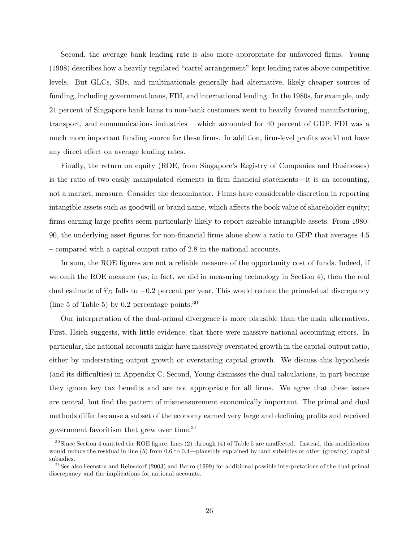Second, the average bank lending rate is also more appropriate for unfavored firms. Young  $(1998)$  describes how a heavily regulated "cartel arrangement" kept lending rates above competitive levels. But GLCs, SBs, and multinationals generally had alternative, likely cheaper sources of funding, including government loans, FDI, and international lending. In the 1980s, for example, only 21 percent of Singapore bank loans to non-bank customers went to heavily favored manufacturing, transport, and communications industries  $-$  which accounted for 40 percent of GDP. FDI was a much more important funding source for these firms. In addition, firm-level profits would not have any direct effect on average lending rates.

Finally, the return on equity (ROE, from Singapore's Registry of Companies and Businesses) is the ratio of two easily manipulated elements in firm financial statements—it is an accounting, not a market, measure. Consider the denominator. Firms have considerable discretion in reporting intangible assets such as goodwill or brand name, which affects the book value of shareholder equity; firms earning large profits seem particularly likely to report sizeable intangible assets. From 1980-90, the underlying asset figures for non-financial firms alone show a ratio to GDP that averages 4.5  $\sim$  compared with a capital-output ratio of 2.8 in the national accounts.

In sum, the ROE figures are not a reliable measure of the opportunity cost of funds. Indeed, if we omit the ROE measure (as, in fact, we did in measuring technology in Section 4), then the real dual estimate of  $\hat{\tau}_D$  falls to +0.2 percent per year. This would reduce the primal-dual discrepancy (line 5 of Table 5) by 0.2 percentage points.  $30$ 

Our interpretation of the dual-primal divergence is more plausible than the main alternatives. First, Hsieh suggests, with little evidence, that there were massive national accounting errors. In particular, the national accounts might have massively overstated growth in the capital-output ratio, either by understating output growth or overstating capital growth. We discuss this hypothesis (and its difficulties) in Appendix C. Second, Young dismisses the dual calculations, in part because they ignore key tax benefits and are not appropriate for all firms. We agree that these issues are central, but find the pattern of mismeasurement economically important. The primal and dual methods differ because a subset of the economy earned very large and declining profits and received government favoritism that grew over time.<sup>31</sup>

 $30$ Since Section 4 omitted the ROE figure, lines (2) through (4) of Table 5 are unaffected. Instead, this modification would reduce the residual in line  $(5)$  from 0.6 to 0.4—plausibly explained by land subsidies or other (growing) capital subsidies.

<sup>&</sup>lt;sup>31</sup> See also Feenstra and Reinsdorf (2003) and Barro (1999) for additional possible interpretations of the dual-primal discrepancy and the implications for national accounts.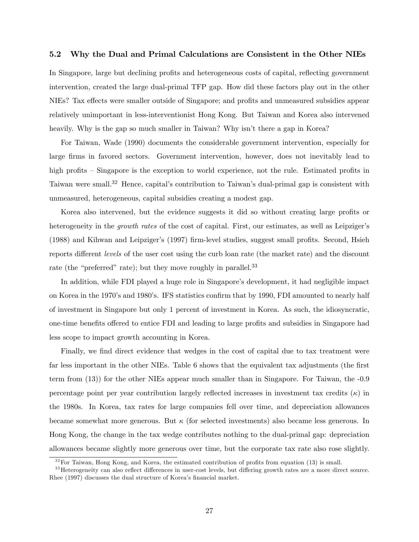### 5.2 Why the Dual and Primal Calculations are Consistent in the Other NIEs

In Singapore, large but declining profits and heterogeneous costs of capital, reflecting government intervention, created the large dual-primal TFP gap. How did these factors play out in the other NIEs? Tax effects were smaller outside of Singapore; and profits and unmeasured subsidies appear relatively unimportant in less-interventionist Hong Kong. But Taiwan and Korea also intervened heavily. Why is the gap so much smaller in Taiwan? Why isn't there a gap in Korea?

For Taiwan, Wade (1990) documents the considerable government intervention, especially for large firms in favored sectors. Government intervention, however, does not inevitably lead to high profits – Singapore is the exception to world experience, not the rule. Estimated profits in Taiwan were small.<sup>32</sup> Hence, capital's contribution to Taiwan's dual-primal gap is consistent with unmeasured, heterogeneous, capital subsidies creating a modest gap.

Korea also intervened, but the evidence suggests it did so without creating large profits or heterogeneity in the *growth rates* of the cost of capital. First, our estimates, as well as Leipziger's (1988) and Kihwan and Leipziger's (1997) firm-level studies, suggest small profits. Second, Hsieh reports different levels of the user cost using the curb loan rate (the market rate) and the discount rate (the "preferred" rate); but they move roughly in parallel. $33$ 

In addition, while FDI played a huge role in Singapore's development, it had negligible impact on Korea in the 1970's and 1980's. IFS statistics confirm that by 1990, FDI amounted to nearly half of investment in Singapore but only 1 percent of investment in Korea. As such, the idiosyncratic, one-time benefits offered to entice FDI and leading to large profits and subsidies in Singapore had less scope to impact growth accounting in Korea.

Finally, we find direct evidence that wedges in the cost of capital due to tax treatment were far less important in the other NIEs. Table 6 shows that the equivalent tax adjustments (the first term from (13)) for the other NIEs appear much smaller than in Singapore. For Taiwan, the -0.9 percentage point per year contribution largely reflected increases in investment tax credits  $(\kappa)$  in the 1980s. In Korea, tax rates for large companies fell over time, and depreciation allowances became somewhat more generous. But  $\kappa$  (for selected investments) also became less generous. In Hong Kong, the change in the tax wedge contributes nothing to the dual-primal gap: depreciation allowances became slightly more generous over time, but the corporate tax rate also rose slightly.

 $3<sup>32</sup>$  For Taiwan, Hong Kong, and Korea, the estimated contribution of profits from equation (13) is small.

 $33$  Heterogeneity can also reflect differences in user-cost levels, but differing growth rates are a more direct source. Rhee (1997) discusses the dual structure of Korea's financial market.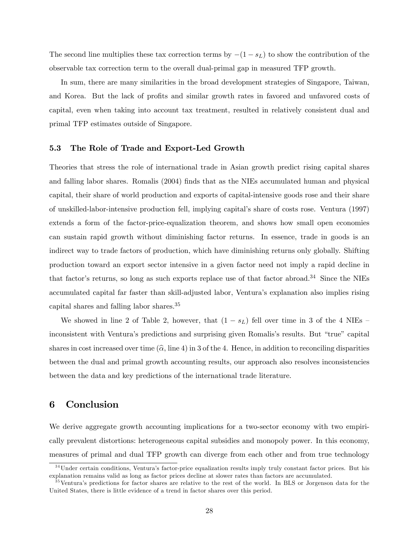The second line multiplies these tax correction terms by  $-(1 - s_L)$  to show the contribution of the observable tax correction term to the overall dual-primal gap in measured TFP growth.

In sum, there are many similarities in the broad development strategies of Singapore, Taiwan, and Korea. But the lack of profits and similar growth rates in favored and unfavored costs of capital, even when taking into account tax treatment, resulted in relatively consistent dual and primal TFP estimates outside of Singapore.

### 5.3 The Role of Trade and Export-Led Growth

Theories that stress the role of international trade in Asian growth predict rising capital shares and falling labor shares. Romalis (2004) finds that as the NIEs accumulated human and physical capital, their share of world production and exports of capital-intensive goods rose and their share of unskilled-labor-intensive production fell, implying capitalís share of costs rose. Ventura (1997) extends a form of the factor-price-equalization theorem, and shows how small open economies can sustain rapid growth without diminishing factor returns. In essence, trade in goods is an indirect way to trade factors of production, which have diminishing returns only globally. Shifting production toward an export sector intensive in a given factor need not imply a rapid decline in that factor's returns, so long as such exports replace use of that factor abroad.<sup>34</sup> Since the NIEs accumulated capital far faster than skill-adjusted labor, Venturaís explanation also implies rising capital shares and falling labor shares.<sup>35</sup>

We showed in line 2 of Table 2, however, that  $(1 - s_L)$  fell over time in 3 of the 4 NIEs – inconsistent with Ventura's predictions and surprising given Romalis's results. But "true" capital shares in cost increased over time  $(\hat{\alpha}, \text{line 4})$  in 3 of the 4. Hence, in addition to reconciling disparities between the dual and primal growth accounting results, our approach also resolves inconsistencies between the data and key predictions of the international trade literature.

### 6 Conclusion

We derive aggregate growth accounting implications for a two-sector economy with two empirically prevalent distortions: heterogeneous capital subsidies and monopoly power. In this economy, measures of primal and dual TFP growth can diverge from each other and from true technology

 $34$ Under certain conditions, Ventura's factor-price equalization results imply truly constant factor prices. But his explanation remains valid as long as factor prices decline at slower rates than factors are accumulated.

 $35$ Ventura's predictions for factor shares are relative to the rest of the world. In BLS or Jorgenson data for the United States, there is little evidence of a trend in factor shares over this period.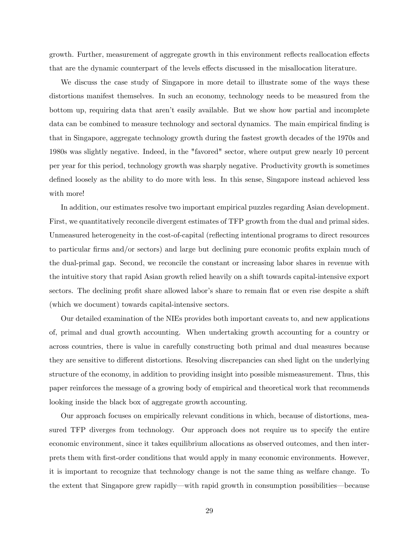growth. Further, measurement of aggregate growth in this environment reflects reallocation effects that are the dynamic counterpart of the levels effects discussed in the misallocation literature.

We discuss the case study of Singapore in more detail to illustrate some of the ways these distortions manifest themselves. In such an economy, technology needs to be measured from the bottom up, requiring data that aren't easily available. But we show how partial and incomplete data can be combined to measure technology and sectoral dynamics. The main empirical finding is that in Singapore, aggregate technology growth during the fastest growth decades of the 1970s and 1980s was slightly negative. Indeed, in the "favored" sector, where output grew nearly 10 percent per year for this period, technology growth was sharply negative. Productivity growth is sometimes defined loosely as the ability to do more with less. In this sense, Singapore instead achieved less with more!

In addition, our estimates resolve two important empirical puzzles regarding Asian development. First, we quantitatively reconcile divergent estimates of TFP growth from the dual and primal sides. Unmeasured heterogeneity in the cost-of-capital (reflecting intentional programs to direct resources to particular firms and/or sectors) and large but declining pure economic profits explain much of the dual-primal gap. Second, we reconcile the constant or increasing labor shares in revenue with the intuitive story that rapid Asian growth relied heavily on a shift towards capital-intensive export sectors. The declining profit share allowed labor's share to remain flat or even rise despite a shift (which we document) towards capital-intensive sectors.

Our detailed examination of the NIEs provides both important caveats to, and new applications of, primal and dual growth accounting. When undertaking growth accounting for a country or across countries, there is value in carefully constructing both primal and dual measures because they are sensitive to different distortions. Resolving discrepancies can shed light on the underlying structure of the economy, in addition to providing insight into possible mismeasurement. Thus, this paper reinforces the message of a growing body of empirical and theoretical work that recommends looking inside the black box of aggregate growth accounting.

Our approach focuses on empirically relevant conditions in which, because of distortions, measured TFP diverges from technology. Our approach does not require us to specify the entire economic environment, since it takes equilibrium allocations as observed outcomes, and then interprets them with Örst-order conditions that would apply in many economic environments. However, it is important to recognize that technology change is not the same thing as welfare change. To the extent that Singapore grew rapidly—with rapid growth in consumption possibilities—because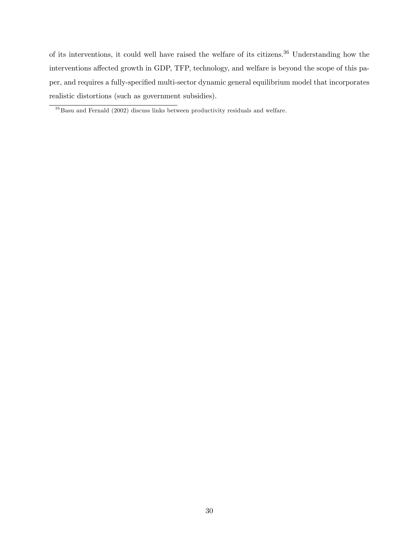of its interventions, it could well have raised the welfare of its citizens.<sup>36</sup> Understanding how the interventions affected growth in GDP, TFP, technology, and welfare is beyond the scope of this paper, and requires a fully-specified multi-sector dynamic general equilibrium model that incorporates realistic distortions (such as government subsidies).

 $36$ Basu and Fernald (2002) discuss links between productivity residuals and welfare.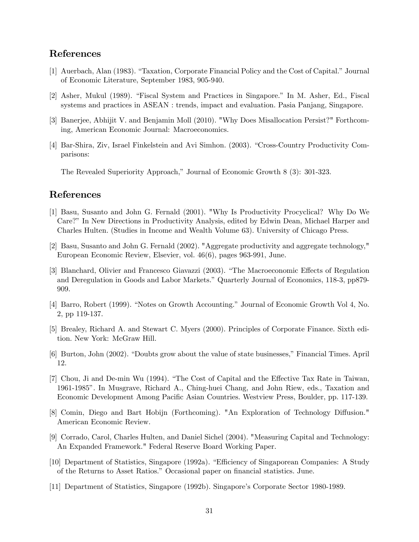## References

- [1] Auerbach, Alan (1983). "Taxation, Corporate Financial Policy and the Cost of Capital." Journal of Economic Literature, September 1983, 905-940.
- [2] Asher, Mukul (1989). "Fiscal System and Practices in Singapore." In M. Asher, Ed., Fiscal systems and practices in ASEAN : trends, impact and evaluation. Pasia Panjang, Singapore.
- [3] Banerjee, Abhijit V. and Benjamin Moll (2010). "Why Does Misallocation Persist?" Forthcoming, American Economic Journal: Macroeconomics.
- [4] Bar-Shira, Ziv, Israel Finkelstein and Avi Simhon. (2003). "Cross-Country Productivity Comparisons:

The Revealed Superiority Approach," Journal of Economic Growth 8 (3): 301-323.

## References

- [1] Basu, Susanto and John G. Fernald (2001). "Why Is Productivity Procyclical? Why Do We Care?î In New Directions in Productivity Analysis, edited by Edwin Dean, Michael Harper and Charles Hulten. (Studies in Income and Wealth Volume 63). University of Chicago Press.
- [2] Basu, Susanto and John G. Fernald (2002). "Aggregate productivity and aggregate technology," European Economic Review, Elsevier, vol. 46(6), pages 963-991, June.
- [3] Blanchard, Olivier and Francesco Giavazzi (2003). "The Macroeconomic Effects of Regulation and Deregulation in Goods and Labor Markets." Quarterly Journal of Economics, 118-3, pp879-909.
- [4] Barro, Robert (1999). "Notes on Growth Accounting." Journal of Economic Growth Vol 4, No. 2, pp 119-137.
- [5] Brealey, Richard A. and Stewart C. Myers (2000). Principles of Corporate Finance. Sixth edition. New York: McGraw Hill.
- [6] Burton, John (2002). "Doubts grow about the value of state businesses," Financial Times. April 12.
- [7] Chou, Ji and De-min Wu (1994). "The Cost of Capital and the Effective Tax Rate in Taiwan. 1961-1985î. In Musgrave, Richard A., Ching-huei Chang, and John Riew, eds., Taxation and Economic Development Among Pacific Asian Countries. Westview Press, Boulder, pp. 117-139.
- [8] Comin, Diego and Bart Hobijn (Forthcoming). "An Exploration of Technology Diffusion." American Economic Review.
- [9] Corrado, Carol, Charles Hulten, and Daniel Sichel (2004). "Measuring Capital and Technology: An Expanded Framework." Federal Reserve Board Working Paper.
- [10] Department of Statistics, Singapore (1992a). "Efficiency of Singaporean Companies: A Study of the Returns to Asset Ratios." Occasional paper on financial statistics. June.
- [11] Department of Statistics, Singapore (1992b). Singaporeís Corporate Sector 1980-1989.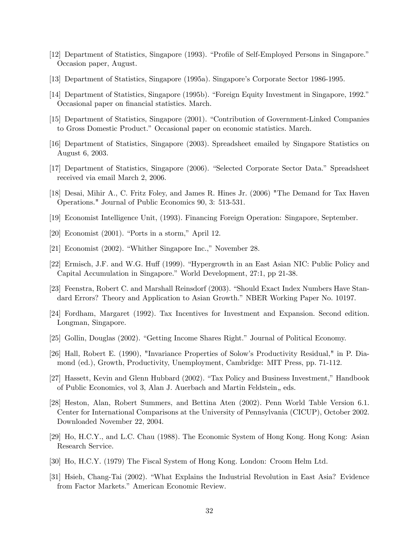- [12] Department of Statistics, Singapore (1993). "Profile of Self-Employed Persons in Singapore." Occasion paper, August.
- [13] Department of Statistics, Singapore (1995a). Singaporeís Corporate Sector 1986-1995.
- [14] Department of Statistics, Singapore (1995b). "Foreign Equity Investment in Singapore, 1992." Occasional paper on financial statistics. March.
- [15] Department of Statistics, Singapore (2001). "Contribution of Government-Linked Companies to Gross Domestic Product." Occasional paper on economic statistics. March.
- [16] Department of Statistics, Singapore (2003). Spreadsheet emailed by Singapore Statistics on August 6, 2003.
- [17] Department of Statistics, Singapore (2006). "Selected Corporate Sector Data." Spreadsheet received via email March 2, 2006.
- [18] Desai, Mihir A., C. Fritz Foley, and James R. Hines Jr. (2006) "The Demand for Tax Haven Operations." Journal of Public Economics 90, 3: 513-531.
- [19] Economist Intelligence Unit, (1993). Financing Foreign Operation: Singapore, September.
- $[20]$  Economist (2001). "Ports in a storm," April 12.
- [21] Economist  $(2002)$ . "Whither Singapore Inc.," November 28.
- [22] Ermisch, J.F. and W.G. Huff (1999). "Hypergrowth in an East Asian NIC: Public Policy and Capital Accumulation in Singapore." World Development, 27:1, pp 21-38.
- [23] Feenstra, Robert C. and Marshall Reinsdorf (2003). "Should Exact Index Numbers Have Standard Errors? Theory and Application to Asian Growth." NBER Working Paper No. 10197.
- [24] Fordham, Margaret (1992). Tax Incentives for Investment and Expansion. Second edition. Longman, Singapore.
- [25] Gollin, Douglas (2002). "Getting Income Shares Right." Journal of Political Economy.
- [26] Hall, Robert E. (1990), "Invariance Properties of Solowís Productivity Residual," in P. Diamond (ed.), Growth, Productivity, Unemployment, Cambridge: MIT Press, pp. 71-112.
- [27] Hassett, Kevin and Glenn Hubbard (2002). "Tax Policy and Business Investment," Handbook of Public Economics, vol 3, Alan J. Auerbach and Martin Feldstein, eds.
- [28] Heston, Alan, Robert Summers, and Bettina Aten (2002). Penn World Table Version 6.1. Center for International Comparisons at the University of Pennsylvania (CICUP), October 2002. Downloaded November 22, 2004.
- [29] Ho, H.C.Y., and L.C. Chau (1988). The Economic System of Hong Kong. Hong Kong: Asian Research Service.
- [30] Ho, H.C.Y. (1979) The Fiscal System of Hong Kong. London: Croom Helm Ltd.
- [31] Hsieh, Chang-Tai (2002). "What Explains the Industrial Revolution in East Asia? Evidence from Factor Markets." American Economic Review.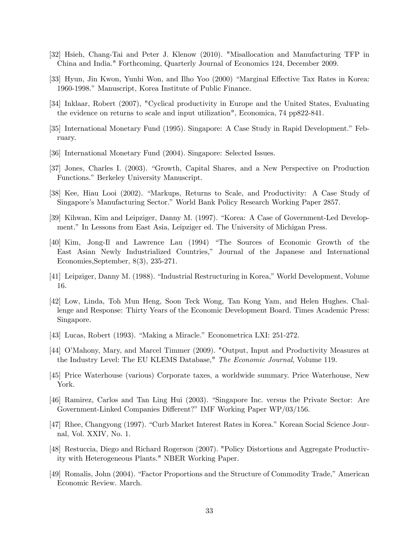- [32] Hsieh, Chang-Tai and Peter J. Klenow (2010). "Misallocation and Manufacturing TFP in China and India." Forthcoming, Quarterly Journal of Economics 124, December 2009.
- [33] Hyun, Jin Kwon, Yunhi Won, and Ilho Yoo (2000) "Marginal Effective Tax Rates in Korea: 1960-1998." Manuscript, Korea Institute of Public Finance.
- [34] Inklaar, Robert (2007), "Cyclical productivity in Europe and the United States, Evaluating the evidence on returns to scale and input utilization", Economica, 74 pp822-841.
- [35] International Monetary Fund (1995). Singapore: A Case Study in Rapid Development." February.
- [36] International Monetary Fund (2004). Singapore: Selected Issues.
- [37] Jones, Charles I. (2003). "Growth, Capital Shares, and a New Perspective on Production Functions." Berkeley University Manuscript.
- [38] Kee, Hiau Looi (2002). "Markups, Returns to Scale, and Productivity: A Case Study of Singapore's Manufacturing Sector." World Bank Policy Research Working Paper 2857.
- [39] Kihwan, Kim and Leipziger, Danny M. (1997). "Korea: A Case of Government-Led Development.î In Lessons from East Asia, Leipziger ed. The University of Michigan Press.
- [40] Kim, Jong-Il and Lawrence Lau (1994) "The Sources of Economic Growth of the East Asian Newly Industrialized Countries," Journal of the Japanese and International Economies,September, 8(3), 235-271.
- [41] Leipziger, Danny M. (1988). "Industrial Restructuring in Korea," World Development, Volume 16.
- [42] Low, Linda, Toh Mun Heng, Soon Teck Wong, Tan Kong Yam, and Helen Hughes. Challenge and Response: Thirty Years of the Economic Development Board. Times Academic Press: Singapore.
- [43] Lucas, Robert (1993). "Making a Miracle." Econometrica LXI:  $251-272$ .
- [44] O'Mahony, Mary, and Marcel Timmer (2009). "Output, Input and Productivity Measures at the Industry Level: The EU KLEMS Database," The Economic Journal, Volume 119.
- [45] Price Waterhouse (various) Corporate taxes, a worldwide summary. Price Waterhouse, New York.
- [46] Ramirez, Carlos and Tan Ling Hui (2003). "Singapore Inc. versus the Private Sector: Are Government-Linked Companies Different?" IMF Working Paper WP/03/156.
- [47] Rhee, Changyong (1997). "Curb Market Interest Rates in Korea." Korean Social Science Journal, Vol. XXIV, No. 1.
- [48] Restuccia, Diego and Richard Rogerson (2007). "Policy Distortions and Aggregate Productivity with Heterogeneous Plants." NBER Working Paper.
- [49] Romalis, John (2004). "Factor Proportions and the Structure of Commodity Trade," American Economic Review. March.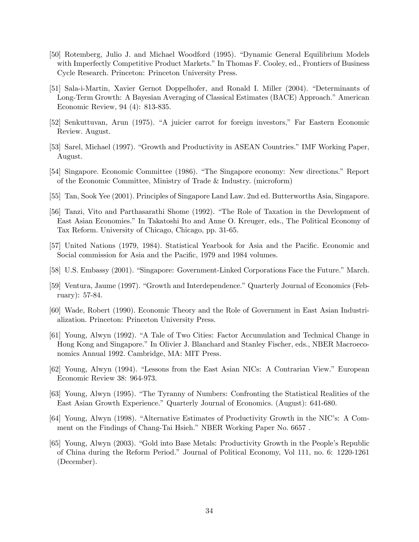- [50] Rotemberg, Julio J. and Michael Woodford (1995). "Dynamic General Equilibrium Models with Imperfectly Competitive Product Markets." In Thomas F. Cooley, ed., Frontiers of Business Cycle Research. Princeton: Princeton University Press.
- [51] Sala-i-Martin, Xavier Gernot Doppelhofer, and Ronald I. Miller (2004). "Determinants of Long-Term Growth: A Bayesian Averaging of Classical Estimates (BACE) Approach." American Economic Review, 94 (4): 813-835.
- [52] Senkuttuvan, Arun (1975). "A juicier carrot for foreign investors," Far Eastern Economic Review. August.
- [53] Sarel, Michael (1997). "Growth and Productivity in ASEAN Countries." IMF Working Paper, August.
- [54] Singapore. Economic Committee (1986). "The Singapore economy: New directions." Report of the Economic Committee, Ministry of Trade & Industry. (microform)
- [55] Tan, Sook Yee (2001). Principles of Singapore Land Law. 2nd ed. Butterworths Asia, Singapore.
- [56] Tanzi, Vito and Parthasarathi Shome (1992). "The Role of Taxation in the Development of East Asian Economies.î In Takatoshi Ito and Anne O. Kreuger, eds., The Political Economy of Tax Reform. University of Chicago, Chicago, pp. 31-65.
- [57] United Nations (1979, 1984). Statistical Yearbook for Asia and the Pacific. Economic and Social commission for Asia and the Pacific, 1979 and 1984 volumes.
- [58] U.S. Embassy (2001). "Singapore: Government-Linked Corporations Face the Future." March.
- [59] Ventura, Jaume (1997). "Growth and Interdependence." Quarterly Journal of Economics (February): 57-84.
- [60] Wade, Robert (1990). Economic Theory and the Role of Government in East Asian Industrialization. Princeton: Princeton University Press.
- [61] Young, Alwyn (1992). "A Tale of Two Cities: Factor Accumulation and Technical Change in Hong Kong and Singapore." In Olivier J. Blanchard and Stanley Fischer, eds., NBER Macroeconomics Annual 1992. Cambridge, MA: MIT Press.
- [62] Young, Alwyn (1994). "Lessons from the East Asian NICs: A Contrarian View." European Economic Review 38: 964-973.
- [63] Young, Alwyn (1995). "The Tyranny of Numbers: Confronting the Statistical Realities of the East Asian Growth Experience." Quarterly Journal of Economics. (August): 641-680.
- [64] Young, Alwyn (1998). "Alternative Estimates of Productivity Growth in the NIC's: A Comment on the Findings of Chang-Tai Hsieh." NBER Working Paper No. 6657.
- [65] Young, Alwyn (2003). "Gold into Base Metals: Productivity Growth in the People's Republic of China during the Reform Period.î Journal of Political Economy, Vol 111, no. 6: 1220-1261 (December).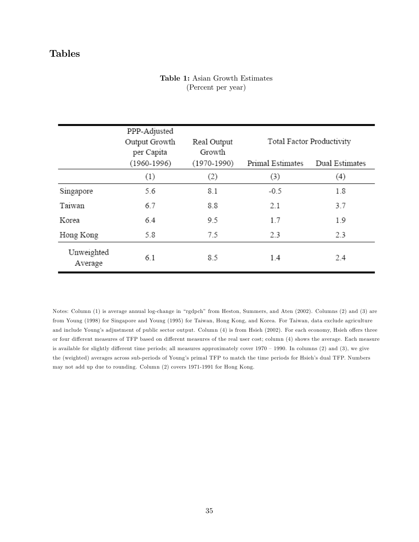## Tables

### Table 1: Asian Growth Estimates (Percent per year)

|                       | PPP-Adjusted<br>Output Growth<br>per Capita<br>$(1960 - 1996)$ | Real Output<br>Growth<br>$(1970 - 1990)$ | Total Factor Productivity |                   |  |
|-----------------------|----------------------------------------------------------------|------------------------------------------|---------------------------|-------------------|--|
|                       |                                                                |                                          | <b>Primal Estimates</b>   | Dual Estimates    |  |
|                       | (1)                                                            | (2)                                      | (3)                       | $\left( 4\right)$ |  |
| Singapore             | 5.6                                                            | 8.1                                      | $-0.5$                    | 1.8               |  |
| Taiwan                | 6.7                                                            | 8.8                                      | 2.1                       | 3.7               |  |
| Korea                 | 6.4                                                            | 9.5                                      | 1.7                       | 1.9               |  |
| Hong Kong             | 5.8                                                            | 7.5                                      | 2.3                       | 2.3               |  |
| Unweighted<br>Average | 6.1                                                            | 8.5                                      | 1.4                       | 2.4               |  |

Notes: Column (1) is average annual log-change in "rgdpch" from Heston, Summers, and Aten (2002). Columns (2) and (3) are from Young (1998) for Singapore and Young (1995) for Taiwan, Hong Kong, and Korea. For Taiwan, data exclude agriculture and include Young's adjustment of public sector output. Column (4) is from Hsieh (2002). For each economy, Hsieh offers three or four different measures of TFP based on different measures of the real user cost; column (4) shows the average. Each measure is available for slightly different time periods; all measures approximately cover  $1970 - 1990$ . In columns (2) and (3), we give the (weighted) averages across sub-periods of Youngís primal TFP to match the time periods for Hsiehís dual TFP. Numbers may not add up due to rounding. Column (2) covers 1971-1991 for Hong Kong.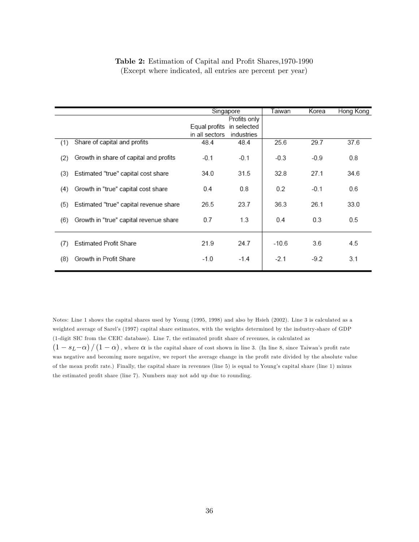|     |                                        |                           |              | Taiwan  | Korea  |           |
|-----|----------------------------------------|---------------------------|--------------|---------|--------|-----------|
|     |                                        | Singapore                 |              |         |        | Hong Kong |
|     |                                        |                           | Profits only |         |        |           |
|     |                                        | Equal profits in selected |              |         |        |           |
|     |                                        | in all sectors            | industries   |         |        |           |
| (1) | Share of capital and profits           | 48.4                      | 48.4         | 25.6    | 29.7   | 37.6      |
| (2) | Growth in share of capital and profits | $-0.1$                    | $-0.1$       | $-0.3$  | $-0.9$ | 0.8       |
| (3) | Estimated "true" capital cost share    | 34.0                      | 31.5         | 32.8    | 27.1   | 34.6      |
| (4) | Growth in "true" capital cost share    | 0.4                       | 0.8          | 0.2     | $-0.1$ | 0.6       |
| (5) | Estimated "true" capital revenue share | 26.5                      | 23.7         | 36.3    | 26.1   | 33.0      |
| (6) | Growth in "true" capital revenue share | 0.7                       | 1.3          | 0.4     | 0.3    | 0.5       |
| (7) | <b>Estimated Profit Share</b>          | 21.9                      | 24.7         | $-10.6$ | 3.6    | 4.5       |
| (8) | Growth in Profit Share                 | $-1.0$                    | $-1.4$       | $-2.1$  | -9.2   | 3.1       |

### Table 2: Estimation of Capital and Profit Shares, 1970-1990 (Except where indicated, all entries are percent per year)

Notes: Line 1 shows the capital shares used by Young (1995, 1998) and also by Hsieh (2002). Line 3 is calculated as a weighted average of Sarelís (1997) capital share estimates, with the weights determined by the industry-share of GDP (1-digit SIC from the CEIC database). Line 7, the estimated profit share of revenues, is calculated as  $\left(1 - s_L-\alpha\right) / \left(1 - \alpha\right)$ , where  $\alpha$  is the capital share of cost shown in line 3. (In line 8, since Taiwan's profit rate was negative and becoming more negative, we report the average change in the profit rate divided by the absolute value of the mean profit rate.) Finally, the capital share in revenues (line 5) is equal to Young's capital share (line 1) minus the estimated profit share (line 7). Numbers may not add up due to rounding.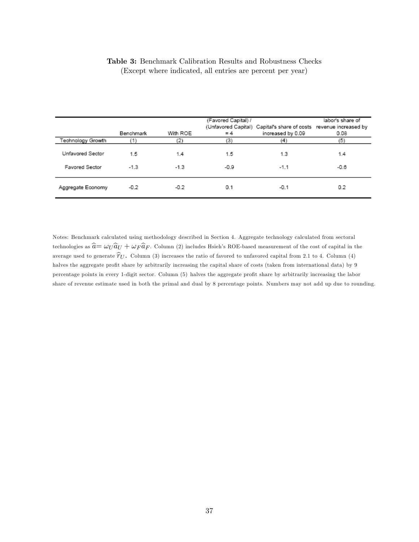|  |  |  |  |                                                            |  |  | <b>Table 3:</b> Benchmark Calibration Results and Robustness Checks |  |
|--|--|--|--|------------------------------------------------------------|--|--|---------------------------------------------------------------------|--|
|  |  |  |  | (Except where indicated, all entries are percent per year) |  |  |                                                                     |  |

|                                           | Benchmark     | With ROE      | (Favored Capital) /<br>$= 4$ | (Unfavored Capital) Capital's share of costs revenue increased by<br>increased by 0.09 | labor's share of<br>0.08 |
|-------------------------------------------|---------------|---------------|------------------------------|----------------------------------------------------------------------------------------|--------------------------|
| Technology Growth                         |               | (2)           | (3)                          | (4)                                                                                    | (5)                      |
| Unfavored Sector<br><b>Favored Sector</b> | 1.5<br>$-1.3$ | 1.4<br>$-1.3$ | 1.5<br>$-0.9$                | 1.3<br>$-1.1$                                                                          | 1.4<br>$-0.6$            |
| Aggregate Economy                         | $-0.2$        | $-0.2$        | 0.1                          | $-0.1$                                                                                 | 0.2                      |

Notes: Benchmark calculated using methodology described in Section 4. Aggregate technology calculated from sectoral technologies as  $\hat{a} = \omega_U \hat{a}_U + \omega_F \hat{a}_F$ . Column (2) includes Hsieh's ROE-based measurement of the cost of capital in the average used to generate  $\hat{\tau}_U$ . Column (3) increases the ratio of favored to unfavored capital from 2.1 to 4. Column (4) halves the aggregate profit share by arbitrarily increasing the capital share of costs (taken from international data) by 9 percentage points in every 1-digit sector. Column (5) halves the aggregate profit share by arbitrarily increasing the labor share of revenue estimate used in both the primal and dual by 8 percentage points. Numbers may not add up due to rounding.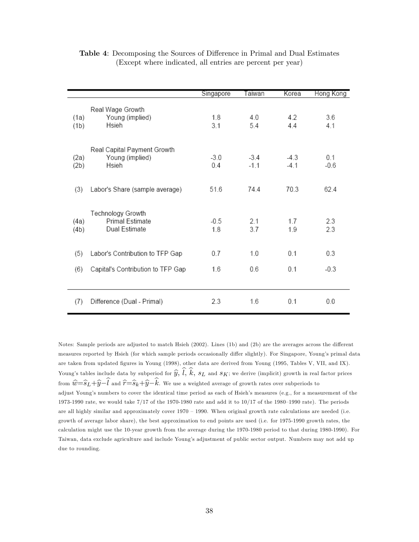|              |                                                         | Singapore     | Taiwan           | Korea            | Hong Kong     |
|--------------|---------------------------------------------------------|---------------|------------------|------------------|---------------|
| (1a)<br>(1b) | Real Wage Growth<br>Young (implied)<br>Hsieh            | 1.8<br>31     | 4.0<br>54        | 4.2<br>44        | 3.6<br>4.1    |
| (2a)<br>(2b) | Real Capital Payment Growth<br>Young (implied)<br>Hsieh | $-3.0$<br>0.4 | $-3.4$<br>$-1.1$ | $-4.3$<br>$-4.1$ | 0.1<br>$-0.6$ |
| (3)          | Labor's Share (sample average)                          | 51.6          | 744              | 70.3             | 62.4          |
| (4a)<br>(4b) | Technology Growth<br>Primal Estimate<br>Dual Estimate   | $-0.5$<br>1.8 | 2.1<br>3.7       | 1.7<br>19        | 2.3<br>23     |
| (5)          | Labor's Contribution to TFP Gap                         | 0.7           | 1.0              | 0.1              | 0.3           |
| (6)          | Capital's Contribution to TFP Gap                       | 1.6           | 0.6              | 0.1              | $-0.3$        |
| (7)          | Difference (Dual - Primal)                              | 2.3           | 1.6              | 0.1              | 0.0           |

Table 4: Decomposing the Sources of Difference in Primal and Dual Estimates (Except where indicated, all entries are percent per year)

Notes: Sample periods are adjusted to match Hsieh (2002). Lines (1b) and (2b) are the averages across the different measures reported by Hsieh (for which sample periods occasionally differ slightly). For Singapore, Young's primal data are taken from updated Ögures in Young (1998), other data are derived from Young (1995, Tables V, VII, and IX). Young's tables include data by subperiod for  $\widehat{y}$ ,  $\widehat{l}$ ,  $\widehat{k}$ ,  $s_L$  and  $s_K$ ; we derive (implicit) growth in real factor prices from  $\hat{w}=\widehat{s}_L+\widehat{y}-\widehat{l}$  and  $\hat{r}=\widehat{s}_k+\widehat{y}-\widehat{k}$ . We use a weighted average of growth rates over subperiods to adjust Young's numbers to cover the identical time period as each of Hsieh's measures (e.g., for a measurement of the 1973-1990 rate, we would take  $7/17$  of the 1970-1980 rate and add it to  $10/17$  of the 1980-1990 rate). The periods are all highly similar and approximately cover  $1970 - 1990$ . When original growth rate calculations are needed (i.e. growth of average labor share), the best approximation to end points are used (i.e. for 1975-1990 growth rates, the calculation might use the 10-year growth from the average during the 1970-1980 period to that during 1980-1990). For Taiwan, data exclude agriculture and include Youngís adjustment of public sector output. Numbers may not add up due to rounding.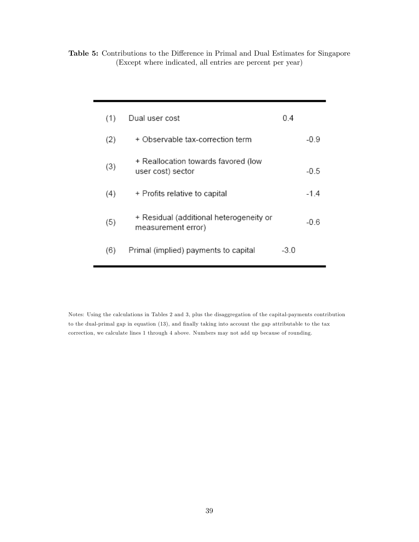Table 5: Contributions to the Difference in Primal and Dual Estimates for Singapore (Except where indicated, all entries are percent per year)

| (1) | Dual user cost                                                | 0.4 |        |
|-----|---------------------------------------------------------------|-----|--------|
| (2) | + Observable tax-correction term                              |     | -0.9   |
| (3) | + Reallocation towards favored (low<br>user cost) sector      |     | -0.5   |
| (4) | + Profits relative to capital                                 |     | $-1.4$ |
| (5) | + Residual (additional heterogeneity or<br>measurement error) |     | -06    |
| (6) | Primal (implied) payments to capital                          | -30 |        |

Notes: Using the calculations in Tables 2 and 3, plus the disaggregation of the capital-payments contribution to the dual-primal gap in equation (13), and finally taking into account the gap attributable to the tax correction, we calculate lines 1 through 4 above. Numbers may not add up because of rounding.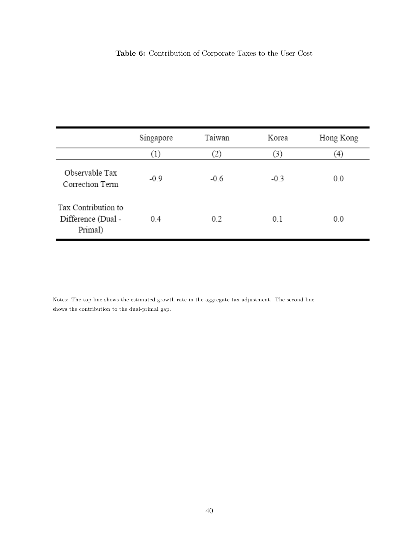## Table 6: Contribution of Corporate Taxes to the User Cost

|                                                      | Singapore           | Taiwan | Korea  | Hong Kong |
|------------------------------------------------------|---------------------|--------|--------|-----------|
|                                                      | $\scriptstyle{(1)}$ | 2)     | (3)    | (4)       |
| Observable Tax<br>Correction Term                    | $-0.9$              | $-0.6$ | $-0.3$ | 0.0       |
| Tax Contribution to<br>Difference (Dual -<br>Primal) | 0.4                 | 0.2    | 0.1    | 0.0       |

Notes: The top line shows the estimated growth rate in the aggregate tax adjustment. The second line shows the contribution to the dual-primal gap.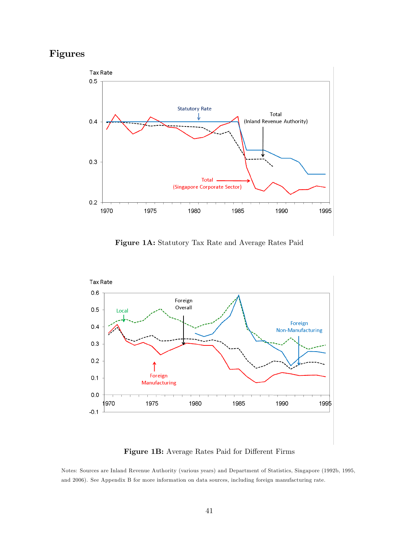## Figures



Figure 1A: Statutory Tax Rate and Average Rates Paid



### Figure 1B: Average Rates Paid for Different Firms

Notes: Sources are Inland Revenue Authority (various years) and Department of Statistics, Singapore (1992b, 1995, and 2006). See Appendix B for more information on data sources, including foreign manufacturing rate.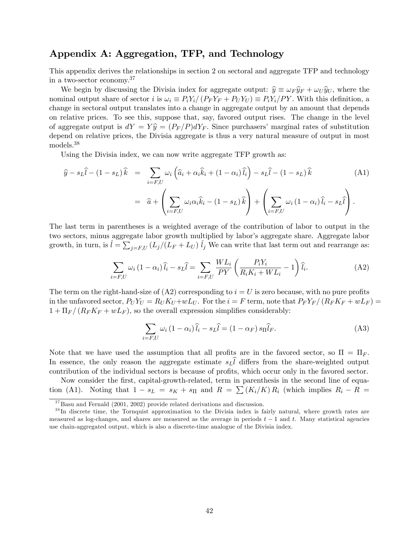## Appendix A: Aggregation, TFP, and Technology

This appendix derives the relationships in section 2 on sectoral and aggregate TFP and technology in a two-sector economy.<sup>37</sup>

We begin by discussing the Divisia index for aggregate output:  $\hat{y} \equiv \omega_F \hat{y}_F + \omega_U \hat{y}_U$ , where the nominal output share of sector i is  $\omega_i \equiv P_i Y_i / (P_F Y_F + P_U Y_U) \equiv P_i Y_i / P Y$ . With this definition, a change in sectoral output translates into a change in aggregate output by an amount that depends on relative prices. To see this, suppose that, say, favored output rises. The change in the level of aggregate output is  $dY = Y \hat{y} = (P_F/P)dY_F$ . Since purchasers' marginal rates of substitution depend on relative prices, the Divisia aggregate is thus a very natural measure of output in most models.<sup>38</sup>

Using the Divisia index, we can now write aggregate TFP growth as:

$$
\hat{y} - s_L \hat{l} - (1 - s_L)\hat{k} = \sum_{i=F,U} \omega_i \left( \hat{a}_i + \alpha_i \hat{k}_i + (1 - \alpha_i) \hat{l}_i \right) - s_L \hat{l} - (1 - s_L)\hat{k}
$$
\n
$$
= \hat{a} + \left( \sum_{i=F,U} \omega_i \alpha_i \hat{k}_i - (1 - s_L)\hat{k} \right) + \left( \sum_{i=F,U} \omega_i (1 - \alpha_i) \hat{l}_i - s_L \hat{l} \right).
$$
\n(A1)

The last term in parentheses is a weighted average of the contribution of labor to output in the two sectors, minus aggregate labor growth multiplied by labor's aggregate share. Aggregate labor growth, in turn, is  $\hat{l} = \sum_{j=F,U} (L_j/(L_F + L_U) \hat{l}_j)$  We can write that last term out and rearrange as:

$$
\sum_{i=F,U} \omega_i (1 - \alpha_i) \widehat{l}_i - s_L \widehat{l} = \sum_{i=F,U} \frac{WL_i}{PY} \left( \frac{P_i Y_i}{R_i K_i + WL_i} - 1 \right) \widehat{l}_i.
$$
 (A2)

The term on the right-hand-size of  $(A2)$  corresponding to  $i = U$  is zero because, with no pure profits in the unfavored sector,  $P_U Y_U = R_U K_U + wL_U$ . For the  $i = F$  term, note that  $P_F Y_F / (R_F K_F + wL_F)$  $1 + \Pi_F/(R_F K_F + wL_F)$ , so the overall expression simplifies considerably:

$$
\sum_{i=F,U} \omega_i (1 - \alpha_i) \hat{l}_i - s_L \hat{l} = (1 - \alpha_F) s_{\Pi} \hat{l}_F.
$$
\n(A3)

Note that we have used the assumption that all profits are in the favored sector, so  $\Pi = \Pi_F$ . In essence, the only reason the aggregate estimate  $s_L l$  differs from the share-weighted output contribution of the individual sectors is because of profits, which occur only in the favored sector.

Now consider the first, capital-growth-related, term in parenthesis in the second line of equation (A1). Noting that  $1 - s_L = s_K + s_\Pi$  and  $R = \sum (K_i/K) R_i$  (which implies  $R_i - R =$ 

 $37$ Basu and Fernald (2001, 2002) provide related derivations and discussion.

<sup>&</sup>lt;sup>38</sup>In discrete time, the Tornquist approximation to the Divisia index is fairly natural, where growth rates are measured as log-changes, and shares are measured as the average in periods  $t-1$  and t. Many statistical agencies use chain-aggregated output, which is also a discrete-time analogue of the Divisia index.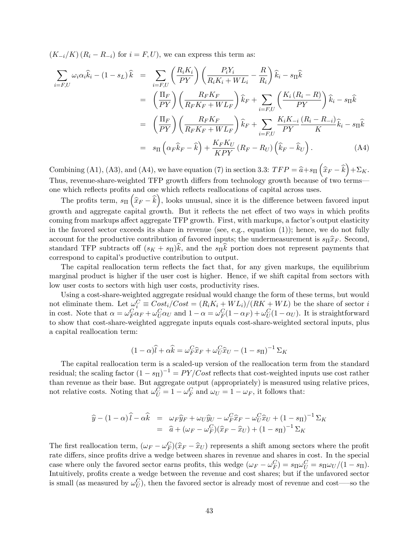$(K_{-i}/K)$   $(R_i - R_{-i})$  for  $i = F, U$ , we can express this term as:

$$
\sum_{i=F,U} \omega_i \alpha_i \hat{k}_i - (1 - s_L) \hat{k} = \sum_{i=F,U} \left( \frac{R_i K_i}{PY} \right) \left( \frac{P_i Y_i}{R_i K_i + WL_i} - \frac{R}{R_i} \right) \hat{k}_i - s_{\Pi} \hat{k}
$$
\n
$$
= \left( \frac{\Pi_F}{PY} \right) \left( \frac{R_F K_F}{R_F K_F + WL_F} \right) \hat{k}_F + \sum_{i=F,U} \left( \frac{K_i (R_i - R)}{PY} \right) \hat{k}_i - s_{\Pi} \hat{k}
$$
\n
$$
= \left( \frac{\Pi_F}{PY} \right) \left( \frac{R_F K_F}{R_F K_F + WL_F} \right) \hat{k}_F + \sum_{i=F,U} \frac{K_i K_{-i}}{PY} \frac{(R_i - R_{-i})}{K} \hat{k}_i - s_{\Pi} \hat{k}
$$
\n
$$
= s_{\Pi} \left( \alpha_F \hat{k}_F - \hat{k} \right) + \frac{K_F K_U}{KPY} \left( R_F - R_U \right) \left( \hat{k}_F - \hat{k}_U \right). \tag{A4}
$$

Combining (A1), (A3), and (A4), we have equation (7) in section 3.3:  $TFP = \hat{a} + s_{\Pi} (\hat{x}_F - \hat{k}) + \Sigma_K$ . Thus, revenue-share-weighted TFP growth differs from technology growth because of two terms one which reflects profits and one which reflects reallocations of capital across uses.

The profits term,  $s_{\Pi}(\hat{x}_F - \hat{k})$ , looks unusual, since it is the difference between favored input growth and aggregate capital growth. But it reflects the net effect of two ways in which profits coming from markups affect aggregate TFP growth. First, with markups, a factor's output elasticity in the favored sector exceeds its share in revenue (see, e.g., equation  $(1)$ ); hence, we do not fully account for the productive contribution of favored inputs; the undermeasurement is  $s_{\Pi}\hat{x}_F$ . Second, standard TFP subtracts of  $(s_K + s_\Pi)k$ , and the  $s_\Pi k$  portion does not represent payments that correspond to capital's productive contribution to output.

The capital reallocation term reflects the fact that, for any given markups, the equilibrium marginal product is higher if the user cost is higher. Hence, if we shift capital from sectors with low user costs to sectors with high user costs, productivity rises.

Using a cost-share-weighted aggregate residual would change the form of these terms, but would not eliminate them. Let  $\omega_i^C \equiv Cost_i/Cost = (R_iK_i + WL_i)/(RK + WL)$  be the share of sector i in cost. Note that  $\alpha = \omega_F^C \alpha_F + \omega_U^C \alpha_U$  and  $1 - \alpha = \omega_F^C (1 - \alpha_F) + \omega_U^C (1 - \alpha_U)$ . It is straightforward to show that cost-share-weighted aggregate inputs equals cost-share-weighted sectoral inputs, plus a capital reallocation term:

$$
(1 - \alpha)\widehat{l} + \alpha \widehat{k} = \omega_F^C \widehat{x}_F + \omega_U^C \widehat{x}_U - (1 - s_{\Pi})^{-1} \Sigma_K
$$

The capital reallocation term is a scaled-up version of the reallocation term from the standard residual; the scaling factor  $(1 - s_{\Pi})^{-1} = PY/Cost$  reflects that cost-weighted inputs use cost rather than revenue as their base. But aggregate output (appropriately) is measured using relative prices, not relative costs. Noting that  $\omega_U^C = 1 - \omega_F^C$  and  $\omega_U = 1 - \omega_F$ , it follows that:

$$
\hat{y} - (1 - \alpha)\hat{l} - \alpha \hat{k} = \omega_F \hat{y}_F + \omega_U \hat{y}_U - \omega_F^C \hat{x}_F - \omega_U^C \hat{x}_U + (1 - s_\Pi)^{-1} \Sigma_K
$$
  
=  $\hat{a} + (\omega_F - \omega_F^C)(\hat{x}_F - \hat{x}_U) + (1 - s_\Pi)^{-1} \Sigma_K$ 

The first reallocation term,  $(\omega_F - \omega_F^C)(\hat{x}_F - \hat{x}_U)$  represents a shift among sectors where the profit rate differs, since profits drive a wedge between shares in revenue and shares in cost. In the special case where only the favored sector earns profits, this wedge  $(\omega_F - \omega_F^C) = s_{\Pi} \omega_U^C = s_{\Pi} \omega_U / (1 - s_{\Pi}).$ Intuitively, profits create a wedge between the revenue and cost shares; but if the unfavored sector is small (as measured by  $\omega_U^C$ ), then the favored sector is already most of revenue and cost—so the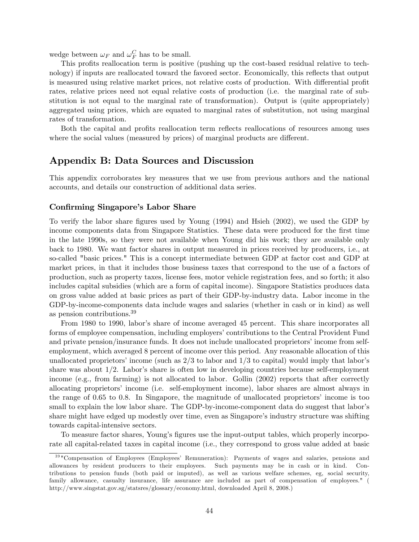wedge between  $\omega_F$  and  $\omega_F^C$  has to be small.

This profits reallocation term is positive (pushing up the cost-based residual relative to technology) if inputs are reallocated toward the favored sector. Economically, this reflects that output is measured using relative market prices, not relative costs of production. With differential profit rates, relative prices need not equal relative costs of production (i.e. the marginal rate of substitution is not equal to the marginal rate of transformation). Output is (quite appropriately) aggregated using prices, which are equated to marginal rates of substitution, not using marginal rates of transformation.

Both the capital and profits reallocation term reflects reallocations of resources among uses where the social values (measured by prices) of marginal products are different.

## Appendix B: Data Sources and Discussion

This appendix corroborates key measures that we use from previous authors and the national accounts, and details our construction of additional data series.

### Confirming Singapore's Labor Share

To verify the labor share figures used by Young (1994) and Hsieh (2002), we used the GDP by income components data from Singapore Statistics. These data were produced for the first time in the late 1990s, so they were not available when Young did his work; they are available only back to 1980. We want factor shares in output measured in prices received by producers, i.e., at so-called "basic prices." This is a concept intermediate between GDP at factor cost and GDP at market prices, in that it includes those business taxes that correspond to the use of a factors of production, such as property taxes, license fees, motor vehicle registration fees, and so forth; it also includes capital subsidies (which are a form of capital income). Singapore Statistics produces data on gross value added at basic prices as part of their GDP-by-industry data. Labor income in the GDP-by-income-components data include wages and salaries (whether in cash or in kind) as well as pension contributions.<sup>39</sup>

From 1980 to 1990, labor's share of income averaged 45 percent. This share incorporates all forms of employee compensation, including employers' contributions to the Central Provident Fund and private pension/insurance funds. It does not include unallocated proprietors' income from selfemployment, which averaged 8 percent of income over this period. Any reasonable allocation of this unallocated proprietors' income (such as  $2/3$  to labor and  $1/3$  to capital) would imply that labor's share was about  $1/2$ . Labor's share is often low in developing countries because self-employment income (e.g., from farming) is not allocated to labor. Gollin (2002) reports that after correctly allocating proprietors' income (i.e. self-employment income), labor shares are almost always in the range of 0.65 to 0.8. In Singapore, the magnitude of unallocated proprietors' income is too small to explain the low labor share. The GDP-by-income-component data do suggest that labor's share might have edged up modestly over time, even as Singapore's industry structure was shifting towards capital-intensive sectors.

To measure factor shares, Young's figures use the input-output tables, which properly incorporate all capital-related taxes in capital income (i.e., they correspond to gross value added at basic

<sup>&</sup>lt;sup>39</sup> "Compensation of Employees (Employees' Remuneration): Payments of wages and salaries, pensions and allowances by resident producers to their employees. Such payments may be in cash or in kind. Contributions to pension funds (both paid or imputed), as well as various welfare schemes, eg, social security, family allowance, casualty insurance, life assurance are included as part of compensation of employees." ( http://www.singstat.gov.sg/statsres/glossary/economy.html, downloaded April 8, 2008.)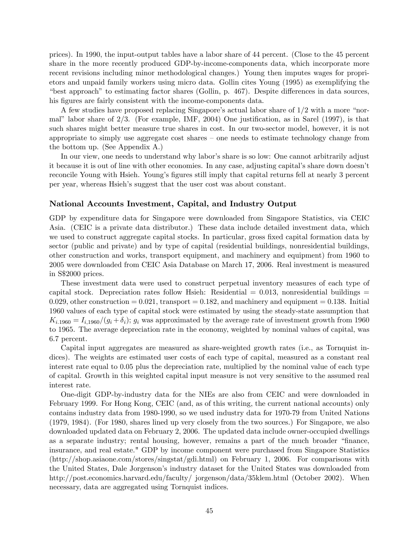prices). In 1990, the input-output tables have a labor share of 44 percent. (Close to the 45 percent share in the more recently produced GDP-by-income-components data, which incorporate more recent revisions including minor methodological changes.) Young then imputes wages for proprietors and unpaid family workers using micro data. Gollin cites Young (1995) as exemplifying the "best approach" to estimating factor shares (Gollin, p.  $467$ ). Despite differences in data sources, his figures are fairly consistent with the income-components data.

A few studies have proposed replacing Singapore's actual labor share of  $1/2$  with a more "normal" labor share of  $2/3$ . (For example, IMF, 2004) One justification, as in Sarel (1997), is that such shares might better measure true shares in cost. In our two-sector model, however, it is not appropriate to simply use aggregate cost shares  $-$  one needs to estimate technology change from the bottom up. (See Appendix A.)

In our view, one needs to understand why labor's share is so low: One cannot arbitrarily adjust it because it is out of line with other economies. In any case, adjusting capitalís share down doesnít reconcile Young with Hsieh. Young's figures still imply that capital returns fell at nearly 3 percent per year, whereas Hsieh's suggest that the user cost was about constant.

### National Accounts Investment, Capital, and Industry Output

GDP by expenditure data for Singapore were downloaded from Singapore Statistics, via CEIC Asia. (CEIC is a private data distributor.) These data include detailed investment data, which we used to construct aggregate capital stocks. In particular, gross fixed capital formation data by sector (public and private) and by type of capital (residential buildings, nonresidential buildings, other construction and works, transport equipment, and machinery and equipment) from 1960 to 2005 were downloaded from CEIC Asia Database on March 17, 2006. Real investment is measured in S\$2000 prices.

These investment data were used to construct perpetual inventory measures of each type of capital stock. Depreciation rates follow Hsieh: Residential =  $0.013$ , nonresidential buildings = 0.029, other construction  $= 0.021$ , transport  $= 0.182$ , and machinery and equipment  $= 0.138$ . Initial 1960 values of each type of capital stock were estimated by using the steady-state assumption that  $K_{i,1960} = I_{i,1960}/(g_i + \delta_i)$ ;  $g_i$  was approximated by the average rate of investment growth from 1960 to 1965. The average depreciation rate in the economy, weighted by nominal values of capital, was 6.7 percent.

Capital input aggregates are measured as share-weighted growth rates (i.e., as Tornquist indices). The weights are estimated user costs of each type of capital, measured as a constant real interest rate equal to 0.05 plus the depreciation rate, multiplied by the nominal value of each type of capital. Growth in this weighted capital input measure is not very sensitive to the assumed real interest rate.

One-digit GDP-by-industry data for the NIEs are also from CEIC and were downloaded in February 1999. For Hong Kong, CEIC (and, as of this writing, the current national accounts) only contains industry data from 1980-1990, so we used industry data for 1970-79 from United Nations (1979, 1984). (For 1980, shares lined up very closely from the two sources.) For Singapore, we also downloaded updated data on February 2, 2006. The updated data include owner-occupied dwellings as a separate industry; rental housing, however, remains a part of the much broader "finance, insurance, and real estate." GDP by income component were purchased from Singapore Statistics (http://shop.asiaone.com/stores/singstat/gdi.html) on February 1, 2006. For comparisons with the United States, Dale Jorgensonís industry dataset for the United States was downloaded from http://post.economics.harvard.edu/faculty/ jorgenson/data/35klem.html (October 2002). When necessary, data are aggregated using Tornquist indices.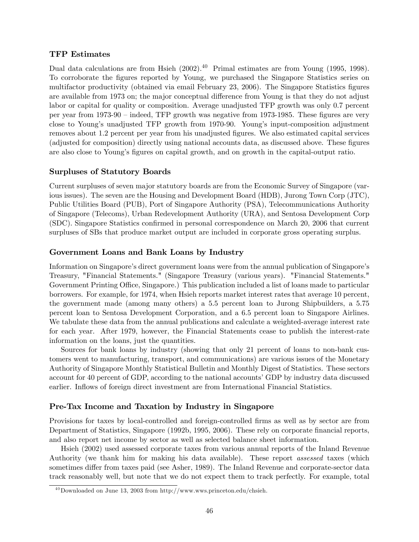### TFP Estimates

Dual data calculations are from Hsieh (2002).<sup>40</sup> Primal estimates are from Young (1995, 1998). To corroborate the Ögures reported by Young, we purchased the Singapore Statistics series on multifactor productivity (obtained via email February 23, 2006). The Singapore Statistics figures are available from 1973 on; the major conceptual difference from Young is that they do not adjust labor or capital for quality or composition. Average unadjusted TFP growth was only 0.7 percent per year from  $1973-90$  – indeed, TFP growth was negative from 1973-1985. These figures are very close to Young's unadjusted TFP growth from 1970-90. Young's input-composition adjustment removes about 1.2 percent per year from his unadjusted figures. We also estimated capital services (adjusted for composition) directly using national accounts data, as discussed above. These figures are also close to Young's figures on capital growth, and on growth in the capital-output ratio.

### Surpluses of Statutory Boards

Current surpluses of seven major statutory boards are from the Economic Survey of Singapore (various issues). The seven are the Housing and Development Board (HDB), Jurong Town Corp (JTC), Public Utilities Board (PUB), Port of Singapore Authority (PSA), Telecommunications Authority of Singapore (Telecoms), Urban Redevelopment Authority (URA), and Sentosa Development Corp (SDC). Singapore Statistics confirmed in personal correspondence on March 20, 2006 that current surpluses of SBs that produce market output are included in corporate gross operating surplus.

### Government Loans and Bank Loans by Industry

Information on Singapore's direct government loans were from the annual publication of Singapore's Treasury, "Financial Statements." (Singapore Treasury (various years). "Financial Statements." Government Printing Office, Singapore.) This publication included a list of loans made to particular borrowers. For example, for 1974, when Hsieh reports market interest rates that average 10 percent, the government made (among many others) a 5.5 percent loan to Jurong Shipbuilders, a 5.75 percent loan to Sentosa Development Corporation, and a 6.5 percent loan to Singapore Airlines. We tabulate these data from the annual publications and calculate a weighted-average interest rate for each year. After 1979, however, the Financial Statements cease to publish the interest-rate information on the loans, just the quantities.

Sources for bank loans by industry (showing that only 21 percent of loans to non-bank customers went to manufacturing, transport, and communications) are various issues of the Monetary Authority of Singapore Monthly Statistical Bulletin and Monthly Digest of Statistics. These sectors account for 40 percent of GDP, according to the national accounts' GDP by industry data discussed earlier. Inflows of foreign direct investment are from International Financial Statistics.

### Pre-Tax Income and Taxation by Industry in Singapore

Provisions for taxes by local-controlled and foreign-controlled firms as well as by sector are from Department of Statistics, Singapore (1992b, 1995, 2006). These rely on corporate financial reports, and also report net income by sector as well as selected balance sheet information.

Hsieh (2002) used assessed corporate taxes from various annual reports of the Inland Revenue Authority (we thank him for making his data available). These report assessed taxes (which sometimes differ from taxes paid (see Asher, 1989). The Inland Revenue and corporate-sector data track reasonably well, but note that we do not expect them to track perfectly. For example, total

 $^{40}$ Downloaded on June 13, 2003 from http://www.wws.princeton.edu/chsieh.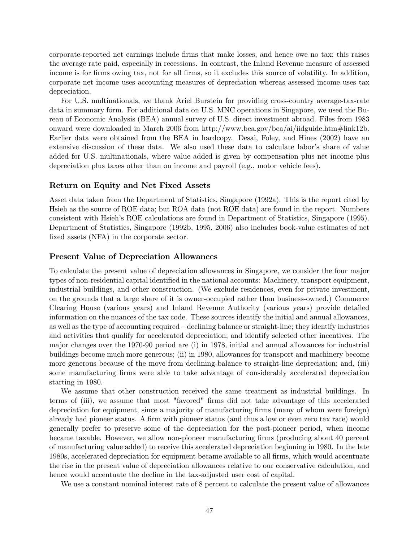corporate-reported net earnings include firms that make losses, and hence owe no tax; this raises the average rate paid, especially in recessions. In contrast, the Inland Revenue measure of assessed income is for firms owing tax, not for all firms, so it excludes this source of volatility. In addition, corporate net income uses accounting measures of depreciation whereas assessed income uses tax depreciation.

For U.S. multinationals, we thank Ariel Burstein for providing cross-country average-tax-rate data in summary form. For additional data on U.S. MNC operations in Singapore, we used the Bureau of Economic Analysis (BEA) annual survey of U.S. direct investment abroad. Files from 1983 onward were downloaded in March 2006 from http://www.bea.gov/bea/ai/iidguide.htm#link12b. Earlier data were obtained from the BEA in hardcopy. Desai, Foley, and Hines (2002) have an extensive discussion of these data. We also used these data to calculate labor's share of value added for U.S. multinationals, where value added is given by compensation plus net income plus depreciation plus taxes other than on income and payroll (e.g., motor vehicle fees).

### Return on Equity and Net Fixed Assets

Asset data taken from the Department of Statistics, Singapore (1992a). This is the report cited by Hsieh as the source of ROE data; but ROA data (not ROE data) are found in the report. Numbers consistent with Hsieh's ROE calculations are found in Department of Statistics, Singapore (1995). Department of Statistics, Singapore (1992b, 1995, 2006) also includes book-value estimates of net fixed assets (NFA) in the corporate sector.

#### Present Value of Depreciation Allowances

To calculate the present value of depreciation allowances in Singapore, we consider the four major types of non-residential capital identified in the national accounts: Machinery, transport equipment, industrial buildings, and other construction. (We exclude residences, even for private investment, on the grounds that a large share of it is owner-occupied rather than business-owned.) Commerce Clearing House (various years) and Inland Revenue Authority (various years) provide detailed information on the nuances of the tax code. These sources identify the initial and annual allowances, as well as the type of accounting required  $-\text{declining balance or straight-line; they identify industries}$ and activities that qualify for accelerated depreciation; and identify selected other incentives. The major changes over the 1970-90 period are (i) in 1978, initial and annual allowances for industrial buildings become much more generous; (ii) in 1980, allowances for transport and machinery become more generous because of the move from declining-balance to straight-line depreciation; and, (iii) some manufacturing firms were able to take advantage of considerably accelerated depreciation starting in 1980.

We assume that other construction received the same treatment as industrial buildings. In terms of (iii), we assume that most "favored" Örms did not take advantage of this accelerated depreciation for equipment, since a majority of manufacturing firms (many of whom were foreign) already had pioneer status. A firm with pioneer status (and thus a low or even zero tax rate) would generally prefer to preserve some of the depreciation for the post-pioneer period, when income became taxable. However, we allow non-pioneer manufacturing firms (producing about 40 percent of manufacturing value added) to receive this accelerated depreciation beginning in 1980. In the late 1980s, accelerated depreciation for equipment became available to all Örms, which would accentuate the rise in the present value of depreciation allowances relative to our conservative calculation, and hence would accentuate the decline in the tax-adjusted user cost of capital.

We use a constant nominal interest rate of 8 percent to calculate the present value of allowances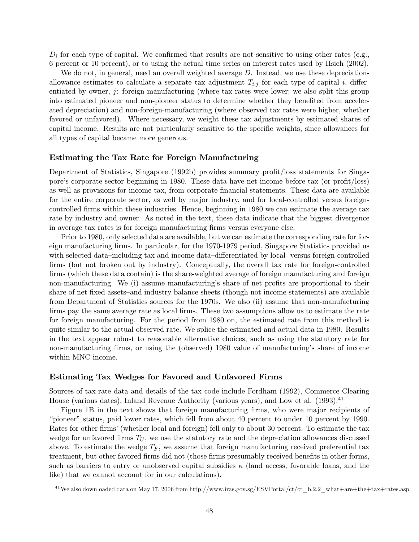$D_i$  for each type of capital. We confirmed that results are not sensitive to using other rates (e.g., 6 percent or 10 percent), or to using the actual time series on interest rates used by Hsieh (2002).

We do not, in general, need an overall weighted average D. Instead, we use these depreciationallowance estimates to calculate a separate tax adjustment  $T_{i,j}$  for each type of capital i, differentiated by owner,  $j$ : foreign manufacturing (where tax rates were lower; we also split this group into estimated pioneer and non-pioneer status to determine whether they benefited from accelerated depreciation) and non-foreign-manufacturing (where observed tax rates were higher, whether favored or unfavored). Where necessary, we weight these tax adjustments by estimated shares of capital income. Results are not particularly sensitive to the specific weights, since allowances for all types of capital became more generous.

### Estimating the Tax Rate for Foreign Manufacturing

Department of Statistics, Singapore (1992b) provides summary profit/loss statements for Singapore's corporate sector beginning in 1980. These data have net income before tax (or profit/loss) as well as provisions for income tax, from corporate financial statements. These data are available for the entire corporate sector, as well by major industry, and for local-controlled versus foreigncontrolled firms within these industries. Hence, beginning in 1980 we can estimate the average tax rate by industry and owner. As noted in the text, these data indicate that the biggest divergence in average tax rates is for foreign manufacturing firms versus everyone else.

Prior to 1980, only selected data are available, but we can estimate the corresponding rate for foreign manufacturing firms. In particular, for the 1970-1979 period, Singapore Statistics provided us with selected data–including tax and income data–differentiated by local- versus foreign-controlled firms (but not broken out by industry). Conceptually, the overall tax rate for foreign-controlled firms (which these data contain) is the share-weighted average of foreign manufacturing and foreign non-manufacturing. We (i) assume manufacturing's share of net profits are proportional to their share of net fixed assets—and industry balance sheets (though not income statements) are available from Department of Statistics sources for the 1970s. We also (ii) assume that non-manufacturing firms pay the same average rate as local firms. These two assumptions allow us to estimate the rate for foreign manufacturing. For the period from 1980 on, the estimated rate from this method is quite similar to the actual observed rate. We splice the estimated and actual data in 1980. Results in the text appear robust to reasonable alternative choices, such as using the statutory rate for non-manufacturing firms, or using the (observed) 1980 value of manufacturing's share of income within MNC income.

#### Estimating Tax Wedges for Favored and Unfavored Firms

Sources of tax-rate data and details of the tax code include Fordham (1992), Commerce Clearing House (various dates), Inland Revenue Authority (various years), and Low et al. (1993).<sup>41</sup>

Figure 1B in the text shows that foreign manufacturing firms, who were major recipients of ìpioneerî status, paid lower rates, which fell from about 40 percent to under 10 percent by 1990. Rates for other firms' (whether local and foreign) fell only to about 30 percent. To estimate the tax wedge for unfavored firms  $T_U$ , we use the statutory rate and the depreciation allowances discussed above. To estimate the wedge  $T_F$ , we assume that foreign manufacturing received preferential tax treatment, but other favored firms did not (those firms presumably received benefits in other forms, such as barriers to entry or unobserved capital subsidies  $\kappa$  (land access, favorable loans, and the like) that we cannot account for in our calculations).

 $^{41}$ We also downloaded data on May 17, 2006 from http://www.iras.gov.sg/ESVPortal/ct/ct\_b.2.2\_what+are+the+tax+rates.asp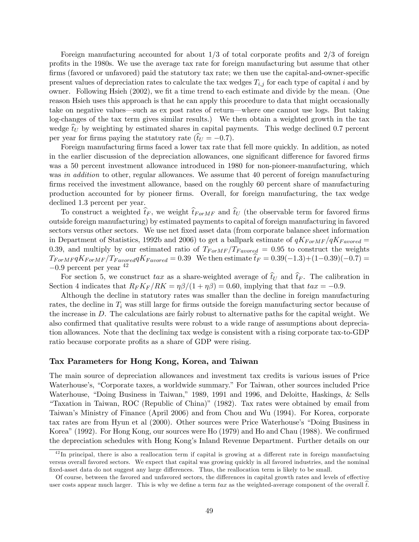Foreign manufacturing accounted for about  $1/3$  of total corporate profits and  $2/3$  of foreign profits in the 1980s. We use the average tax rate for foreign manufacturing but assume that other firms (favored or unfavored) paid the statutory tax rate; we then use the capital-and-owner-specific present values of depreciation rates to calculate the tax wedges  $T_{i,j}$  for each type of capital i and by owner. Following Hsieh (2002), we fit a time trend to each estimate and divide by the mean. (One reason Hsieh uses this approach is that he can apply this procedure to data that might occasionally take on negative values—such as ex post rates of return—where one cannot use logs. But taking log-changes of the tax term gives similar results.) We then obtain a weighted growth in the tax wedge  $t_U$  by weighting by estimated shares in capital payments. This wedge declined 0.7 percent per year for firms paying the statutory rate  $(\hat{t}_U = -0.7)$ .

Foreign manufacturing firms faced a lower tax rate that fell more quickly. In addition, as noted in the earlier discussion of the depreciation allowances, one significant difference for favored firms was a 50 percent investment allowance introduced in 1980 for non-pioneer-manufacturing, which was in addition to other, regular allowances. We assume that 40 percent of foreign manufacturing firms received the investment allowance, based on the roughly 60 percent share of manufacturing production accounted for by pioneer Örms. Overall, for foreign manufacturing, the tax wedge declined 1.3 percent per year.

To construct a weighted  $\hat{t}_F$ , we weight  $\hat{t}_{ForMF}$  and  $\hat{t}_U$  (the observable term for favored firms outside foreign manufacturing) by estimated payments to capital of foreign manufacturing in favored sectors versus other sectors. We use net fixed asset data (from corporate balance sheet information in Department of Statistics, 1992b and 2006) to get a ballpark estimate of  $qK_{ForMF}/qK_{Favored} =$ 0.39, and multiply by our estimated ratio of  $T_{ForMF}/T_{Favored} = 0.95$  to construct the weights  $T_{For MF} qK_{For MF}/T_{Favored} qK_{Favored} = 0.39$  We then estimate  $\hat{t}_F = 0.39(-1.3)+(1-0.39)(-0.7) =$  $-0.9$  percent per year  $42$ 

For section 5, we construct tax as a share-weighted average of  $\hat{t}_U$  and  $\hat{t}_F$ . The calibration in Section 4 indicates that  $R_F K_F / R K = \eta \beta / (1 + \eta \beta) = 0.60$ , implying that that  $tax = -0.9$ .

Although the decline in statutory rates was smaller than the decline in foreign manufacturing rates, the decline in  $T_i$  was still large for firms outside the foreign manufacturing sector because of the increase in D. The calculations are fairly robust to alternative paths for the capital weight. We also confirmed that qualitative results were robust to a wide range of assumptions about depreciation allowances. Note that the declining tax wedge is consistent with a rising corporate tax-to-GDP ratio because corporate profits as a share of GDP were rising.

### Tax Parameters for Hong Kong, Korea, and Taiwan

The main source of depreciation allowances and investment tax credits is various issues of Price Waterhouse's, "Corporate taxes, a worldwide summary." For Taiwan, other sources included Price Waterhouse, "Doing Business in Taiwan," 1989, 1991 and 1996, and Deloitte, Haskings, & Sells ìTaxation in Taiwan, ROC (Republic of China)î (1982). Tax rates were obtained by email from Taiwanís Ministry of Finance (April 2006) and from Chou and Wu (1994). For Korea, corporate tax rates are from Hyun et al (2000). Other sources were Price Waterhouse's "Doing Business in Korea" (1992). For Hong Kong, our sources were Ho (1979) and Ho and Chau (1988). We confirmed the depreciation schedules with Hong Kongís Inland Revenue Department. Further details on our

 $^{42}$ In principal, there is also a reallocation term if capital is growing at a different rate in foreign manufactuing versus overall favored sectors. We expect that capital was growing quickly in all favored industries, and the nominal fixed-asset data do not suggest any large differences. Thus, the reallocation term is likely to be small.

Of course, between the favored and unfavored sectors, the differences in capital growth rates and levels of effective user costs appear much larger. This is why we define a term tax as the weighted-average component of the overall  $\hat{t}$ .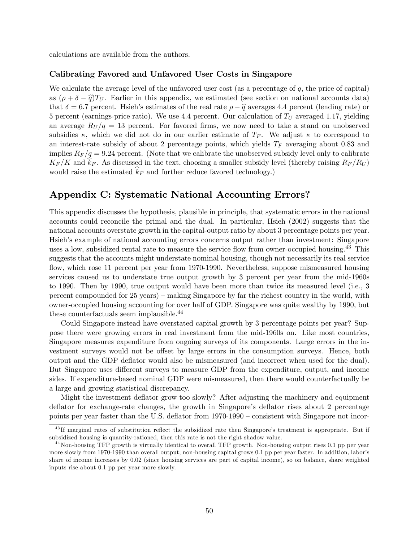calculations are available from the authors.

### Calibrating Favored and Unfavored User Costs in Singapore

We calculate the average level of the unfavored user cost (as a percentage of  $q$ , the price of capital) as  $(\rho + \delta - \hat{q})T_U$ . Earlier in this appendix, we estimated (see section on national accounts data) that  $\delta = 6.7$  percent. Hsieh's estimates of the real rate  $\rho - \hat{q}$  averages 4.4 percent (lending rate) or 5 percent (earnings-price ratio). We use 4.4 percent. Our calculation of  $T_U$  averaged 1.17, yielding an average  $R_U/q = 13$  percent. For favored firms, we now need to take a stand on unobserved subsidies  $\kappa$ , which we did not do in our earlier estimate of  $T_F$ . We adjust  $\kappa$  to correspond to an interest-rate subsidy of about 2 percentage points, which yields  $T_F$  averaging about 0.83 and implies  $R_F/q = 9.24$  percent. (Note that we calibrate the unobserved subsidy level only to calibrate  $K_F/K$  and  $k_F$ . As discussed in the text, choosing a smaller subsidy level (thereby raising  $R_F/R_U$ ) would raise the estimated  $k_F$  and further reduce favored technology.)

## Appendix C: Systematic National Accounting Errors?

This appendix discusses the hypothesis, plausible in principle, that systematic errors in the national accounts could reconcile the primal and the dual. In particular, Hsieh (2002) suggests that the national accounts overstate growth in the capital-output ratio by about 3 percentage points per year. Hsieh's example of national accounting errors concerns output rather than investment: Singapore uses a low, subsidized rental rate to measure the service flow from owner-occupied housing.<sup>43</sup> This suggests that the accounts might understate nominal housing, though not necessarily its real service flow, which rose 11 percent per year from 1970-1990. Nevertheless, suppose mismeasured housing services caused us to understate true output growth by 3 percent per year from the mid-1960s to 1990. Then by 1990, true output would have been more than twice its measured level (i.e., 3 percent compounded for  $25$  years) – making Singapore by far the richest country in the world, with owner-occupied housing accounting for over half of GDP. Singapore was quite wealthy by 1990, but these counterfactuals seem implausible. $^{44}$ 

Could Singapore instead have overstated capital growth by 3 percentage points per year? Suppose there were growing errors in real investment from the mid-1960s on. Like most countries, Singapore measures expenditure from ongoing surveys of its components. Large errors in the investment surveys would not be offset by large errors in the consumption surveys. Hence, both output and the GDP deflator would also be mismeasured (and incorrect when used for the dual). But Singapore uses different surveys to measure GDP from the expenditure, output, and income sides. If expenditure-based nominal GDP were mismeasured, then there would counterfactually be a large and growing statistical discrepancy.

Might the investment deflator grow too slowly? After adjusting the machinery and equipment deflator for exchange-rate changes, the growth in Singapore's deflator rises about 2 percentage points per year faster than the U.S. deflator from  $1970-1990$  – consistent with Singapore not incor-

 $^{43}$ If marginal rates of substitution reflect the subsidized rate then Singapore's treatment is appropriate. But if subsidized housing is quantity-rationed, then this rate is not the right shadow value.

 $^{44}$  Non-housing TFP growth is virtually identical to overall TFP growth. Non-housing output rises 0.1 pp per year more slowly from 1970-1990 than overall output; non-housing capital grows 0.1 pp per year faster. In addition, labor's share of income increases by 0.02 (since housing services are part of capital income), so on balance, share weighted inputs rise about 0.1 pp per year more slowly.